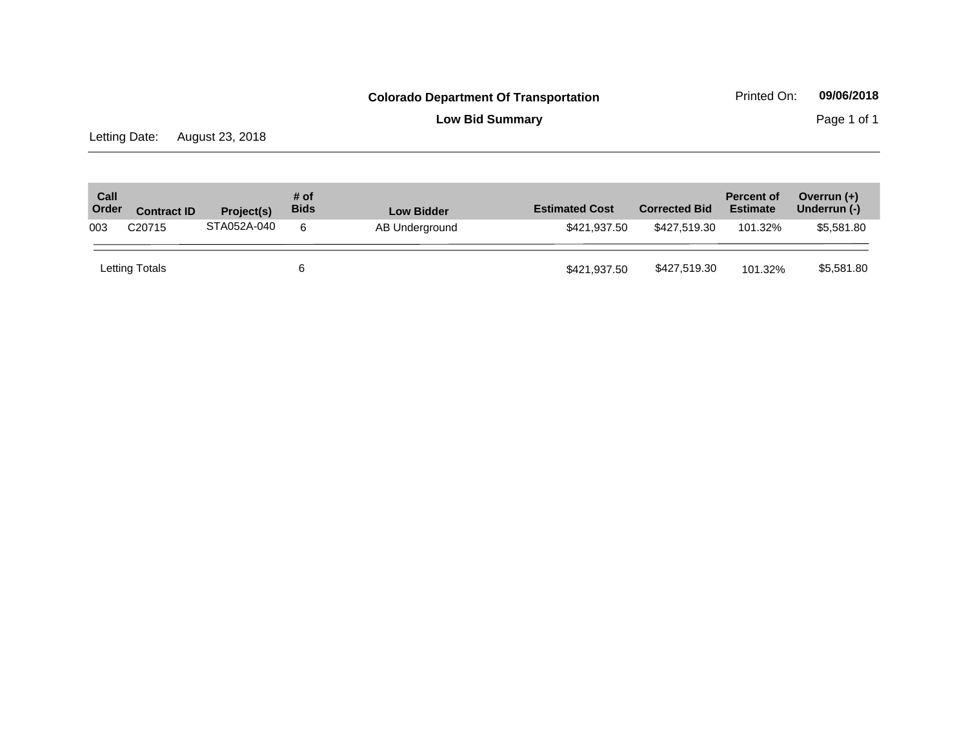**Low Bid Summary** Page 1 of 1

Letting Date: August 23, 2018

| Call<br>Order | <b>Contract ID</b> | Project(s)  | # of<br><b>Bids</b> | <b>Low Bidder</b> | <b>Estimated Cost</b> | <b>Corrected Bid</b> | <b>Percent of</b><br><b>Estimate</b> | Overrun $(+)$<br>Underrun (-) |
|---------------|--------------------|-------------|---------------------|-------------------|-----------------------|----------------------|--------------------------------------|-------------------------------|
| 003           | C <sub>20715</sub> | STA052A-040 | 6                   | AB Underground    | \$421,937.50          | \$427.519.30         | 101.32%                              | \$5,581.80                    |
|               | Letting Totals     |             | 6                   |                   | \$421,937.50          | \$427,519.30         | 101.32%                              | \$5,581.80                    |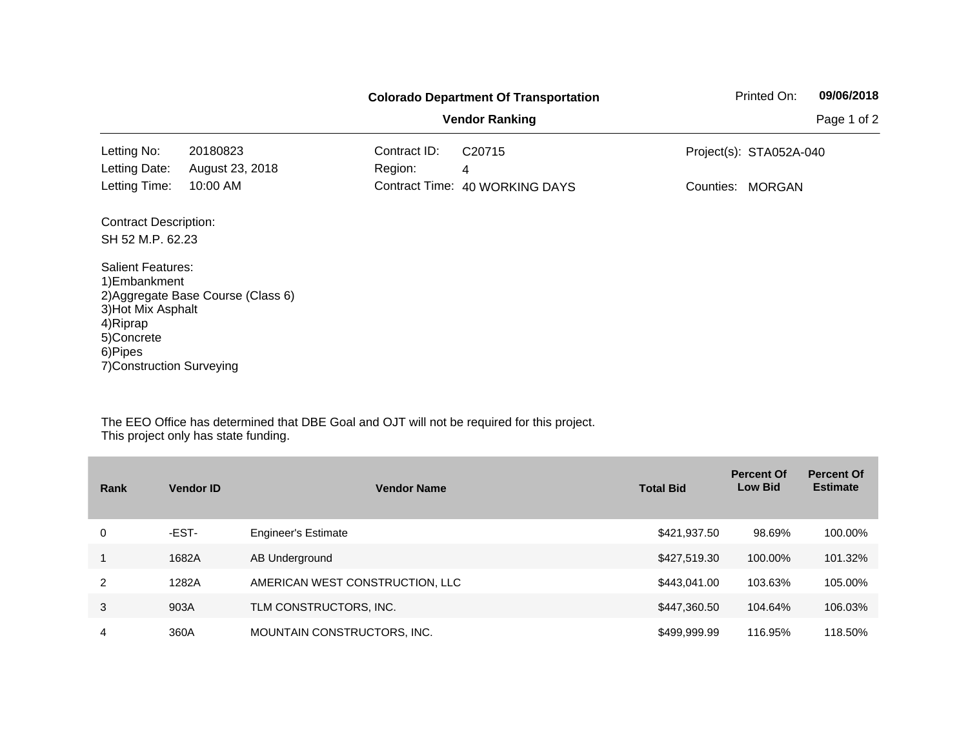|                                                                                                                                    |                                    |              | <b>Colorado Department Of Transportation</b> | Printed On:                | 09/06/2018  |
|------------------------------------------------------------------------------------------------------------------------------------|------------------------------------|--------------|----------------------------------------------|----------------------------|-------------|
|                                                                                                                                    |                                    |              | <b>Vendor Ranking</b>                        |                            | Page 1 of 2 |
| Letting No:                                                                                                                        | 20180823                           | Contract ID: | C <sub>20715</sub>                           | Project(s): STA052A-040    |             |
| Letting Date:                                                                                                                      | August 23, 2018                    | Region:      | 4                                            |                            |             |
| Letting Time:                                                                                                                      | 10:00 AM                           |              | Contract Time: 40 WORKING DAYS               | Counties:<br><b>MORGAN</b> |             |
| <b>Contract Description:</b>                                                                                                       |                                    |              |                                              |                            |             |
| SH 52 M.P. 62.23                                                                                                                   |                                    |              |                                              |                            |             |
| <b>Salient Features:</b><br>1) Embankment<br>3) Hot Mix Asphalt<br>4) Riprap<br>5)Concrete<br>6)Pipes<br>7) Construction Surveying | 2) Aggregate Base Course (Class 6) |              |                                              |                            |             |

| Rank | <b>Vendor ID</b> | <b>Vendor Name</b>              | <b>Total Bid</b> | <b>Percent Of</b><br><b>Low Bid</b> | <b>Percent Of</b><br><b>Estimate</b> |
|------|------------------|---------------------------------|------------------|-------------------------------------|--------------------------------------|
| 0    | -EST-            | <b>Engineer's Estimate</b>      | \$421,937.50     | 98.69%                              | 100.00%                              |
|      | 1682A            | AB Underground                  | \$427,519.30     | 100.00%                             | 101.32%                              |
| 2    | 1282A            | AMERICAN WEST CONSTRUCTION, LLC | \$443,041,00     | 103.63%                             | 105.00%                              |
| 3    | 903A             | TLM CONSTRUCTORS, INC.          | \$447,360.50     | 104.64%                             | 106.03%                              |
| 4    | 360A             | MOUNTAIN CONSTRUCTORS, INC.     | \$499,999.99     | 116.95%                             | 118.50%                              |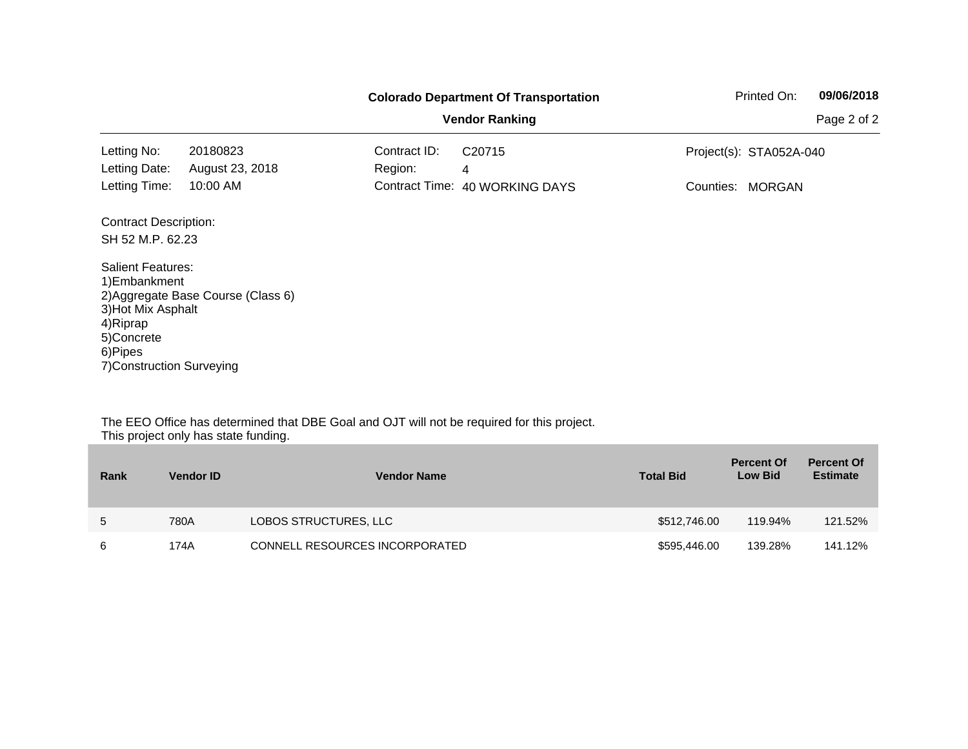|                                                                                                                                                                                                                                                                       |                                    | <b>Colorado Department Of Transportation</b> | Printed On: | 09/06/2018 |
|-----------------------------------------------------------------------------------------------------------------------------------------------------------------------------------------------------------------------------------------------------------------------|------------------------------------|----------------------------------------------|-------------|------------|
| <b>Vendor Ranking</b><br>20180823<br>Contract ID:<br>C <sub>20715</sub><br>Project(s): STA052A-040<br>August 23, 2018<br>Region:<br>4<br>10:00 AM<br>Contract Time: 40 WORKING DAYS<br>Counties:<br><b>MORGAN</b><br><b>Contract Description:</b><br>SH 52 M.P. 62.23 |                                    | Page 2 of 2                                  |             |            |
| Letting No:                                                                                                                                                                                                                                                           |                                    |                                              |             |            |
| Letting Date:                                                                                                                                                                                                                                                         |                                    |                                              |             |            |
| Letting Time:                                                                                                                                                                                                                                                         |                                    |                                              |             |            |
|                                                                                                                                                                                                                                                                       |                                    |                                              |             |            |
|                                                                                                                                                                                                                                                                       |                                    |                                              |             |            |
| <b>Salient Features:</b><br>1) Embankment<br>3) Hot Mix Asphalt<br>4) Riprap<br>5)Concrete<br>6)Pipes<br>7) Construction Surveying                                                                                                                                    | 2) Aggregate Base Course (Class 6) |                                              |             |            |

| Rank | <b>Vendor ID</b> | <b>Vendor Name</b>             | <b>Total Bid</b> | <b>Percent Of</b><br><b>Low Bid</b> | <b>Percent Of</b><br><b>Estimate</b> |
|------|------------------|--------------------------------|------------------|-------------------------------------|--------------------------------------|
| 5    | 780A             | LOBOS STRUCTURES, LLC          | \$512,746.00     | 119.94%                             | 121.52%                              |
| 6    | 174A             | CONNELL RESOURCES INCORPORATED | \$595,446.00     | 139.28%                             | 141.12%                              |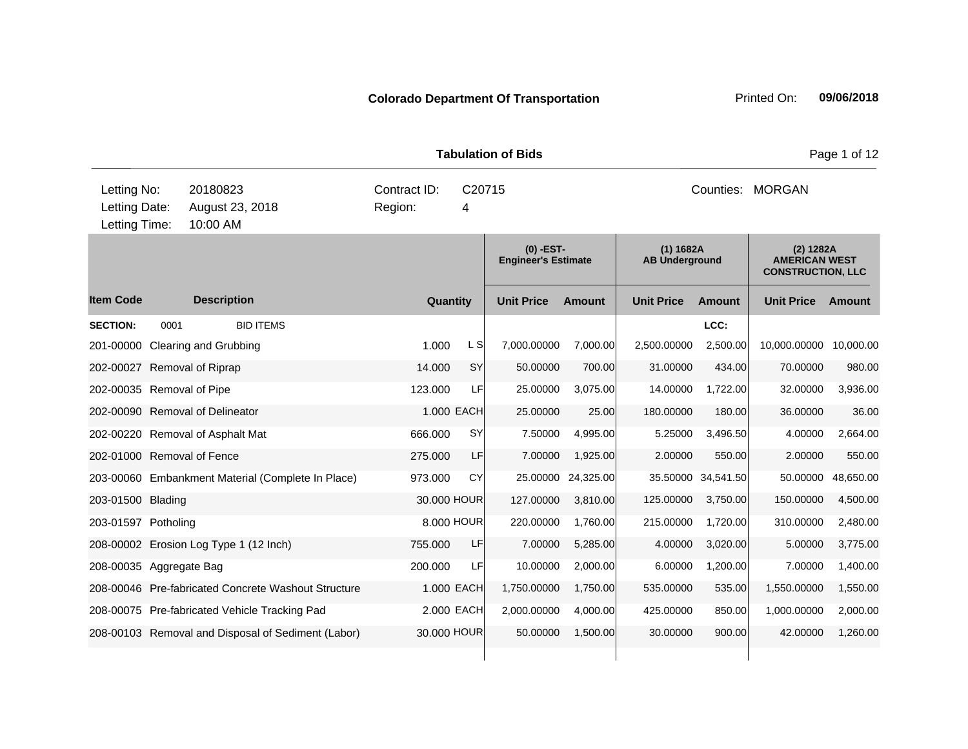|                                               | <b>Tabulation of Bids</b> |                                                                                   |                                                     |         |                                           |                   |                  |                                    |               |                                                               | Page 1 of 12 |
|-----------------------------------------------|---------------------------|-----------------------------------------------------------------------------------|-----------------------------------------------------|---------|-------------------------------------------|-------------------|------------------|------------------------------------|---------------|---------------------------------------------------------------|--------------|
| Letting No:<br>Letting Date:<br>Letting Time: |                           | 20180823<br>Contract ID:<br>C20715<br>August 23, 2018<br>Region:<br>4<br>10:00 AM |                                                     |         |                                           |                   | Counties: MORGAN |                                    |               |                                                               |              |
|                                               |                           |                                                                                   |                                                     |         | $(0)$ -EST-<br><b>Engineer's Estimate</b> |                   |                  | (1) 1682A<br><b>AB Underground</b> |               | (2) 1282A<br><b>AMERICAN WEST</b><br><b>CONSTRUCTION, LLC</b> |              |
| <b>Item Code</b>                              |                           | <b>Description</b>                                                                |                                                     |         | Quantity                                  | <b>Unit Price</b> | <b>Amount</b>    | <b>Unit Price</b>                  | <b>Amount</b> | <b>Unit Price</b>                                             | Amount       |
| <b>SECTION:</b>                               | 0001                      |                                                                                   | <b>BID ITEMS</b>                                    |         |                                           |                   |                  |                                    | LCC:          |                                                               |              |
|                                               |                           | 201-00000 Clearing and Grubbing                                                   |                                                     | 1.000   | L S                                       | 7,000.00000       | 7,000.00         | 2,500.00000                        | 2,500.00      | 10,000.00000                                                  | 10,000.00    |
| 202-00027 Removal of Riprap                   |                           |                                                                                   |                                                     | 14.000  | <b>SY</b>                                 | 50.00000          | 700.00           | 31.00000                           | 434.00        | 70.00000                                                      | 980.00       |
| 202-00035 Removal of Pipe                     |                           |                                                                                   |                                                     | 123.000 | LF                                        | 25.00000          | 3,075.00         | 14.00000                           | 1,722.00      | 32.00000                                                      | 3,936.00     |
|                                               |                           | 202-00090 Removal of Delineator                                                   |                                                     |         | 1.000 EACH                                | 25.00000          | 25.00            | 180.00000                          | 180.00        | 36.00000                                                      | 36.00        |
|                                               |                           | 202-00220 Removal of Asphalt Mat                                                  |                                                     | 666.000 | <b>SY</b>                                 | 7.50000           | 4,995.00         | 5.25000                            | 3,496.50      | 4.00000                                                       | 2,664.00     |
| 202-01000 Removal of Fence                    |                           |                                                                                   |                                                     | 275.000 | LF                                        | 7.00000           | 1,925.00         | 2.00000                            | 550.00        | 2.00000                                                       | 550.00       |
|                                               |                           |                                                                                   | 203-00060 Embankment Material (Complete In Place)   | 973.000 | CY                                        | 25.00000          | 24,325.00        | 35.50000                           | 34,541.50     | 50.00000                                                      | 48,650.00    |
| 203-01500 Blading                             |                           |                                                                                   |                                                     |         | 30.000 HOUR                               | 127.00000         | 3,810.00         | 125.00000                          | 3,750.00      | 150.00000                                                     | 4,500.00     |
| 203-01597 Potholing                           |                           |                                                                                   |                                                     |         | 8,000 HOUR                                | 220.00000         | 1,760.00         | 215.00000                          | 1,720.00      | 310.00000                                                     | 2,480.00     |
|                                               |                           | 208-00002 Erosion Log Type 1 (12 Inch)                                            |                                                     | 755.000 | LF                                        | 7.00000           | 5,285.00         | 4.00000                            | 3,020.00      | 5.00000                                                       | 3,775.00     |
| 208-00035 Aggregate Bag                       |                           |                                                                                   |                                                     | 200.000 | LF                                        | 10.00000          | 2,000.00         | 6.00000                            | 1,200.00      | 7.00000                                                       | 1,400.00     |
|                                               |                           |                                                                                   | 208-00046 Pre-fabricated Concrete Washout Structure |         | 1.000 EACH                                | 1,750.00000       | 1,750.00         | 535.00000                          | 535.00        | 1,550.00000                                                   | 1,550.00     |
|                                               |                           | 208-00075 Pre-fabricated Vehicle Tracking Pad                                     |                                                     |         | 2.000 EACH                                | 2,000.00000       | 4,000.00         | 425.00000                          | 850.00        | 1,000.00000                                                   | 2,000.00     |
|                                               |                           |                                                                                   | 208-00103 Removal and Disposal of Sediment (Labor)  |         | 30.000 HOUR                               | 50.00000          | 1,500.00         | 30.00000                           | 900.00        | 42.00000                                                      | 1,260.00     |
|                                               |                           |                                                                                   |                                                     |         |                                           |                   |                  |                                    |               |                                                               |              |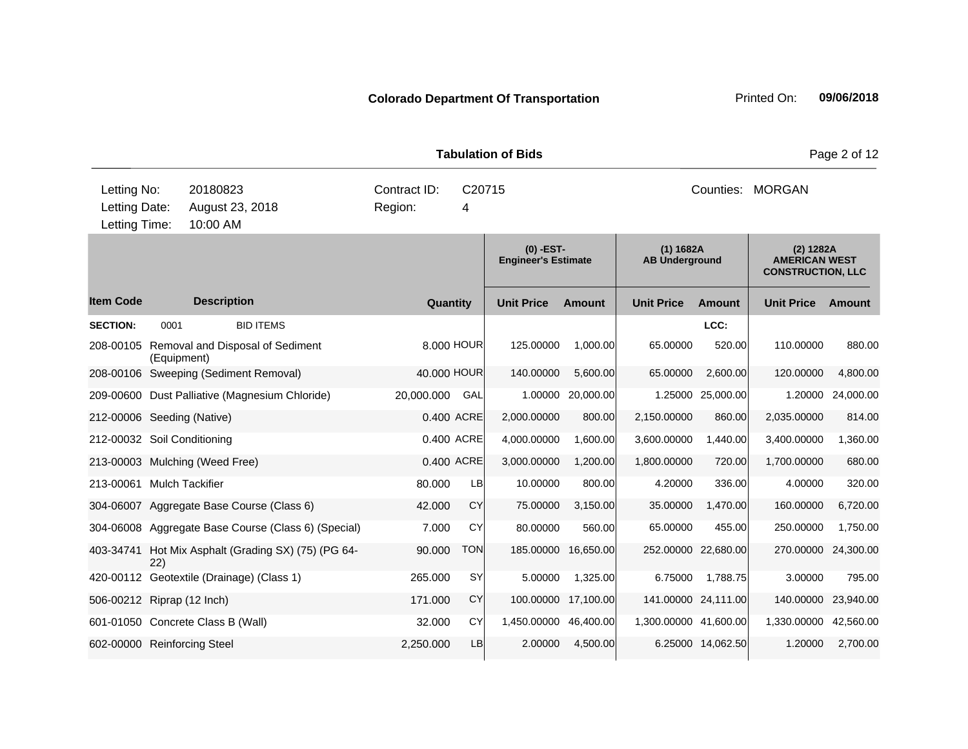|             |                               |                     | <b>Tabulation of Bids</b> |                  |
|-------------|-------------------------------|---------------------|---------------------------|------------------|
| Letting No: | 20180823                      | Contract ID: C20715 |                           | Counties: MORGAN |
|             | Letting Date: August 23, 2018 | Region:             | 4                         |                  |

**Quantity Unit Price Unit Price Ext** Item Code Description Quantity Unit Price Amount Unit Price Amount Unit Price **Ext Unit Price Amount Ext Amount (0) -EST-Engineer's Estimate (1) 1682A AB Underground (2) 1282A AMERICAN WEST CONSTRUCTION, LLC Description SECTION:** 0001 BID ITEMS **LCC:** 208-00105 Removal and Disposal of Sediment (Equipment) 8.000 HOUR 125.00000 1,000.00 65.00000 520.00 110.00000 880.00 208-00106 Sweeping (Sediment Removal) 40.000 HOUR 140.00000 5,600.00 65.00000 2,600.00 120.00000 4,800.00 209-00600 Dust Palliative (Magnesium Chloride) 20,000.000 GAL 1.00000 20,000.00 1.25000 25,000.00 1.20000 24,000.00 212-00006 Seeding (Native) 0.400 ACRE 2,000.00000 800.00 2,150.00000 860.00 2,035.00000 814.00 212-00032 Soil Conditioning 0.400 ACRE 4,000.00000 1,600.00 3,600.00000 1,440.00 3,400.00000 1,360.00 213-00003 Mulching (Weed Free) 0.400 ACRE 3,000.00000 1,200.00 1,800.00000 720.00 1,700.00000 680.00 213-00061 Mulch Tackifier 80.000 LB 10.00000 800.00 4.20000 336.00 4.00000 320.00 304-06007 Aggregate Base Course (Class 6) 42.000 CY 75.00000 3,150.00 35.00000 1,470.00 160.00000 6,720.00 304-06008 Aggregate Base Course (Class 6) (Special) 7.000 CY 80.00000 560.00 65.00000 455.00 250.00000 1,750.00 403-34741 Hot Mix Asphalt (Grading SX) (75) (PG 64- 22) 90.000 TON 185.00000 16,650.00 252.00000 22,680.00 270.00000 24,300.00 420-00112 Geotextile (Drainage) (Class 1) 265.000 SY 5.00000 1,325.00 6.75000 1,788.75 3.00000 795.00 506-00212 Riprap (12 Inch) 171.000 CY 100.00000 17,100.00 141.00000 24,111.00 140.00000 23,940.00 601-01050 Concrete Class B (Wall) 32.000 CY 1,450.00000 46,400.00 1,300.00000 41,600.00 1,330.00000 42,560.00 602-00000 Reinforcing Steel 2,250.000 LB 2.00000 4,500.00 6.25000 14,062.50 1.20000 2,700.00 10:00 AM Letting Time:

**Page 2 of 12**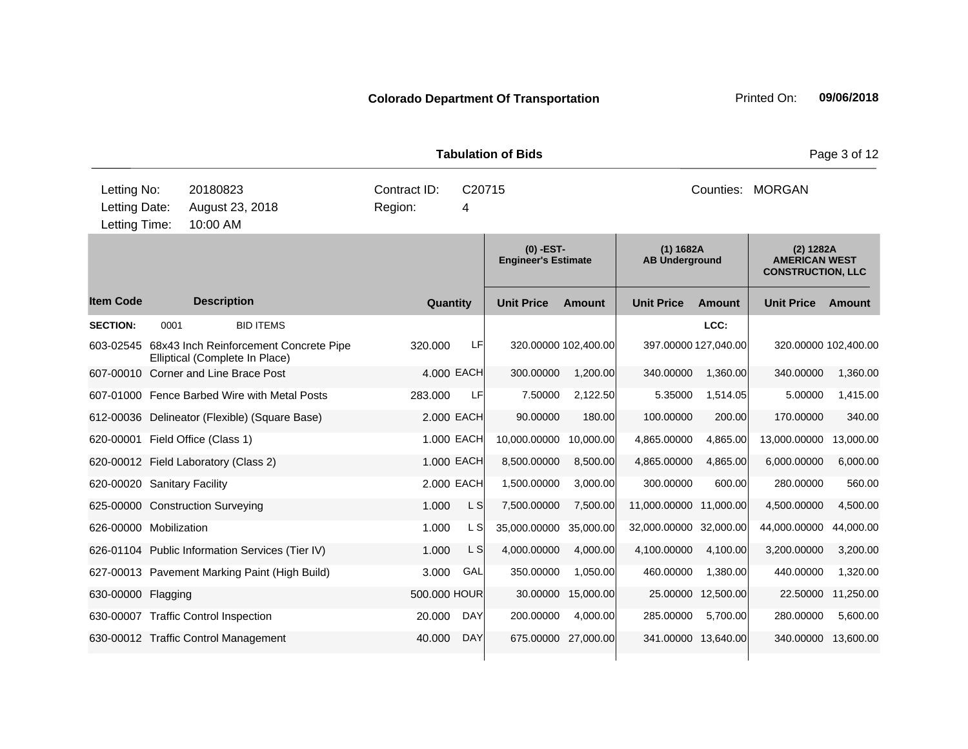**Quantity Unit Price Unit Price Ext** Item Code Description Quantity Unit Price Amount Unit Price Amount Unit Price **Ext Unit Price Amount Ext Amount (0) -EST-Engineer's Estimate (1) 1682A AB Underground (2) 1282A AMERICAN WEST CONSTRUCTION, LLC Description SECTION:** 0001 BID ITEMS **LCC:** 603-02545 68x43 Inch Reinforcement Concrete Pipe Elliptical (Complete In Place) 320.000 LF 320.00000 102,400.00 397.00000 127,040.00 320.00000 102,400.00 607-00010 Corner and Line Brace Post 4.000 EACH 300.00000 1,200.00 340.00000 1,360.00 340.00000 1,360.00 607-01000 Fence Barbed Wire with Metal Posts 283.000 LF 7.50000 2,122.50 5.35000 1,514.05 5.00000 1,415.00 612-00036 Delineator (Flexible) (Square Base) 2.000 EACH 90.00000 180.00 100.00000 200.00 170.00000 340.00 620-00001 Field Office (Class 1) 1.000 EACH 10,000.00000 10,000.00 4,865.00000 4,865.00 13,000.00000 13,000.00 620-00012 Field Laboratory (Class 2) 1.000 EACH 8,500.00000 8,500.00 4,865.00000 4,865.00 6,000.00000 6,000.00 620-00020 Sanitary Facility 2.000 EACH 1,500.00000 3,000.00 300.00000 600.00 280.00000 560.00 625-00000 Construction Surveying  $1.000$  L S  $7,500.00000$   $7,500.000$  11,000.0000 11,000.00 4,500.000 4,500.00 626-00000 Mobilization 1.000 L S 35,000.00000 35,000.00 32,000.00000 32,000.00 44,000.00000 44,000.00 626-01104 Public Information Services (Tier IV) 1.000 L S 4,000.00000 4,000.00 4,100.00000 4,100.00 3,200.00000 3,200.00 627-00013 Pavement Marking Paint (High Build) 3.000 GAL 350.00000 1,050.00 460.00000 1,380.00 440.00000 1,320.00 630-00000 Flagging 500.000 HOUR 30.00000 15,000.00 25.00000 12,500.00 22.50000 11,250.00 630-00007 Traffic Control Inspection 20.000 DAY 200.00000 4,000.00 285.00000 5,700.00 280.00000 5,600.00 630-00012 Traffic Control Management 40.000 DAY 675.00000 27,000.00 341.00000 13,640.00 340.00000 13,600.00 10:00 AM Counties: MORGAN Letting Date: August 23, 2018 Region: 4 C20715 Region: Letting Time: Letting No: 20180823 Contract ID: Counties:

**Tabulation of Bids Page 3 of 12**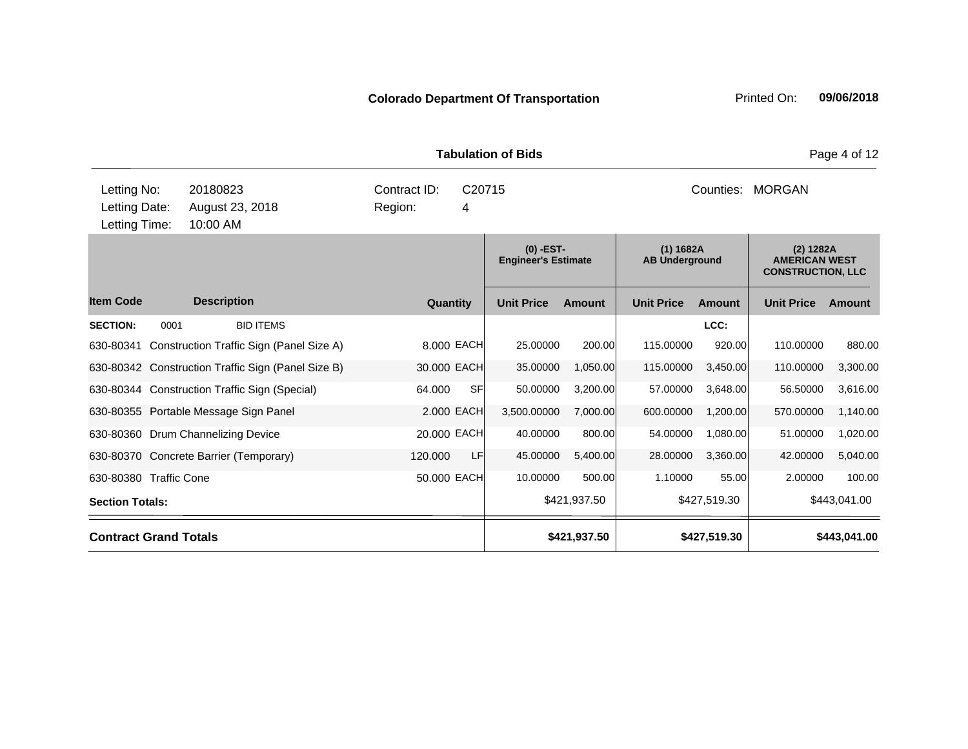**Quantity Unit Price Unit Price Ext** Item Code Description Quantity Unit Price Amount Unit Price Amount Unit Price **Ext Unit Price Amount Ext Amount (0) -EST-Engineer's Estimate (1) 1682A AB Underground (2) 1282A AMERICAN WEST CONSTRUCTION, LLC Description SECTION:** 0001 BID ITEMS **LCC:** 630-80341 Construction Traffic Sign (Panel Size A) 8.000 EACH 25.00000 200.00 115.00000 920.00 110.00000 880.00 630-80342 Construction Traffic Sign (Panel Size B) 30.000 EACH 35.00000 1,050.00 115.00000 3,450.00 110.00000 3,300.00 630-80344 Construction Traffic Sign (Special) 64.000 SF 50.00000 3,200.00 57.00000 3,648.00 56.50000 3,616.00 630-80355 Portable Message Sign Panel 2.000 EACH 3,500.00000 7,000.00 600.00000 1,200.00 570.00000 1,140.00 630-80360 Drum Channelizing Device 20.000 EACH 40.00000 800.00 54.00000 1,080.00 51.00000 1,020.00 630-80370 Concrete Barrier (Temporary) 120.000 LF 45.00000 5,400.00 28.00000 3,360.00 42.00000 5,040.00 630-80380 Traffic Cone 50.000 EACH 10.00000 500.00 1.10000 55.00 2.00000 100.00 **Section Totals: \$421,937.50 \$427,519.30 \$443,041.00 Contract Grand Totals \$421,937.50 \$427,519.30 \$443,041.00 Tabulation of Bids** Page 4 of 12 10:00 AM Counties: MORGAN Letting Date: August 23, 2018 Region: 4 C20715 Region: Letting Time: Letting No: 20180823 Contract ID: Counties: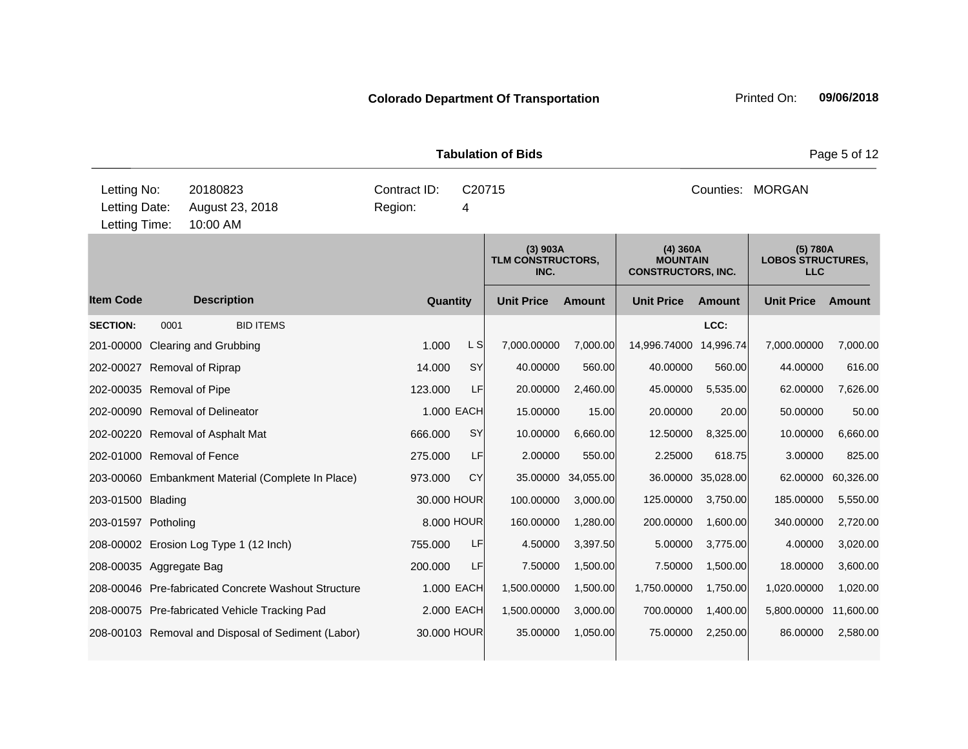**Quantity Unit Price Unit Price Ext** Item Code Description Quantity Unit Price Amount Unit Price Amount Unit Price **Ext Unit Price Amount Ext Amount (3) 903A TLM CONSTRUCTORS, INC. (4) 360A MOUNTAIN CONSTRUCTORS, INC. (5) 780A LOBOS STRUCTURES, LLC Description SECTION:** 0001 BID ITEMS **LCC:** 201-00000 Clearing and Grubbing 2001-0000 Clearing and Grubbing 1.000 Clearing and Grubbing 2000 1.000 L S 7,000.00000 7,000.0000 7,000.00 14,996.74 7,000.0000 7,000.00 202-00027 Removal of Riprap 14.000 SY 40.00000 560.00 40.00000 560.00 44.00000 616.00 202-00035 Removal of Pipe 123.000 LF 20.00000 2,460.00 45.00000 5,535.00 62.00000 7,626.00 202-00090 Removal of Delineator 1.000 EACH 15.00000 15.00 20.00000 20.00 50.00000 50.00 202-00220 Removal of Asphalt Mat 666.000 SY 10.00000 6,660.00 12.50000 8,325.00 10.00000 6,660.00 202-01000 Removal of Fence 275.000 LF 2.00000 550.00 2.25000 618.75 3.00000 825.00 203-00060 Embankment Material (Complete In Place) 973.000 CY 35.00000 34,055.00 36.00000 35,028.00 62.00000 60,326.00 203-01500 Blading 30.000 HOUR 100.00000 3,000.00 125.00000 3,750.00 185.00000 5,550.00 203-01597 Potholing 8.000 HOUR 160.00000 1,280.00 200.00000 1,600.00 340.00000 2,720.00 208-00002 Erosion Log Type 1 (12 Inch) 755.000 LF 4.50000 3,397.50 5.00000 3,775.00 4.00000 3,020.00 208-00035 Aggregate Bag 200.000 LF 7.50000 1,500.00 7.50000 1,500.00 1,500.00 7.50000 1,500.00 1,500.00 208-00046 Pre-fabricated Concrete Washout Structure 1.000 EACH 1,500.00000 1,500.00 1,750.00000 1,750.00 1,020.00000 1,020.00 208-00075 Pre-fabricated Vehicle Tracking Pad 2.000 EACH 1,500.00000 3,000.00 700.00000 1,400.00 5,800.00000 11,600.00 208-00103 Removal and Disposal of Sediment (Labor) 30.000 HOUR 35.00000 1,050.00 75.00000 2,250.00 86.00000 2,580.00 **Tabulation of Bids** Page 5 of 12 10:00 AM Counties: MORGAN Letting Date: August 23, 2018 Region: 4 C20715 Region: Letting Time: Letting No: 20180823 Contract ID: Counties: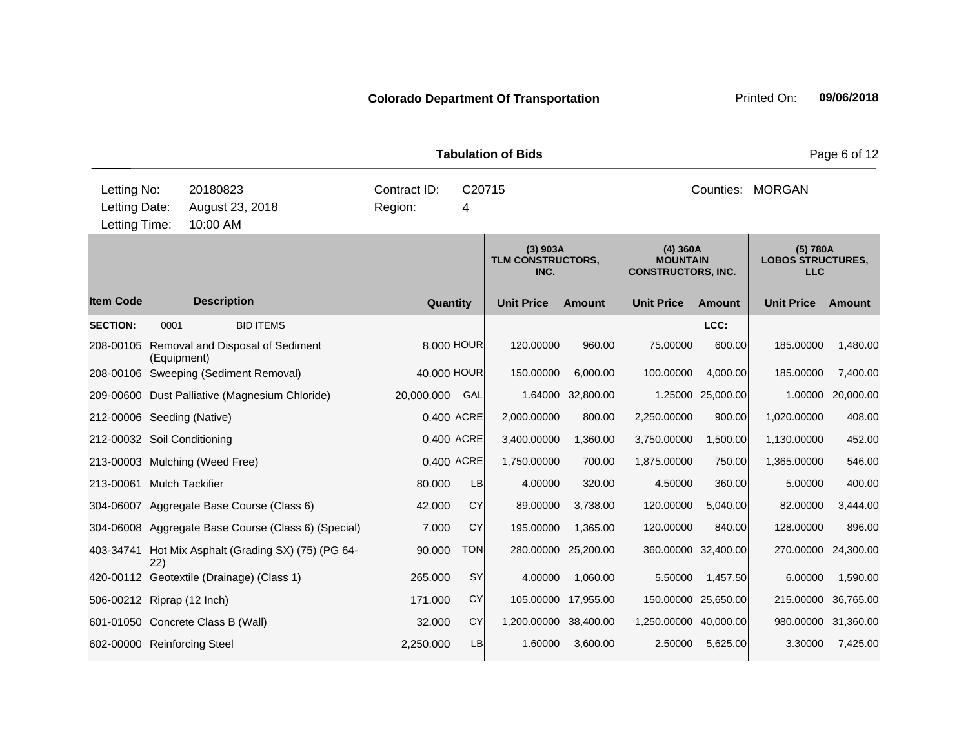**Quantity Unit Price Unit Price Ext** Item Code Description Quantity Unit Price Amount Unit Price Amount Unit Price **Ext Unit Price Amount Ext Amount (3) 903A TLM CONSTRUCTORS, INC. (4) 360A MOUNTAIN CONSTRUCTORS, INC. (5) 780A LOBOS STRUCTURES, LLC Description SECTION:** 0001 BID ITEMS **LCC:** 208-00105 Removal and Disposal of Sediment (Equipment) 8.000 HOUR 120.00000 960.00 75.00000 600.00 185.00000 1,480.00 208-00106 Sweeping (Sediment Removal) 40.000 HOUR 150.00000 6,000.00 100.00000 4,000.00 185.00000 7,400.00 209-00600 Dust Palliative (Magnesium Chloride) 20,000.000 GAL 1.64000 32,800.00 1.25000 25,000.00 1.00000 20,000.00 212-00006 Seeding (Native) 0.400 ACRE 2,000.00000 800.00 2,250.00000 900.00 1,020.00000 408.00 212-00032 Soil Conditioning 0.400 ACRE 3,400.00000 1,360.00 3,750.00000 1,500.00 1,130.00000 452.00 213-00003 Mulching (Weed Free) 0.400 ACRE 1,750.00000 700.00 1,875.00000 750.00 1,365.00000 546.00 213-00061 Mulch Tackifier 80.000 LB 4.00000 320.00 4.50000 360.00 5.00000 400.00 304-06007 Aggregate Base Course (Class 6) 42.000 CY 89.00000 3,738.00 120.00000 5,040.00 82.00000 3,444.00 304-06008 Aggregate Base Course (Class 6) (Special) 7.000 CY 195.00000 1,365.00 120.00000 840.00 128.00000 896.00 403-34741 Hot Mix Asphalt (Grading SX) (75) (PG 64- 22) 90.000 TON 280.00000 25,200.00 360.00000 32,400.00 270.00000 24,300.00 420-00112 Geotextile (Drainage) (Class 1) 265.000 SY 4.00000 1,060.00 5.50000 1,457.50 6.00000 1,590.00 506-00212 Riprap (12 Inch) 171.000 CY 105.00000 17,955.00 150.00000 25,650.00 215.00000 36,765.00 601-01050 Concrete Class B (Wall) 32.000 CY 1,200.00000 38,400.00 1,250.00000 40,000.00 980.00000 31,360.00 602-00000 Reinforcing Steel 2,250.000 LB 1.60000 3,600.00 2.50000 5,625.00 3.30000 7,425.00 **Tabulation of Bids Page 6 of 12** 10:00 AM Counties: MORGAN Letting Date: August 23, 2018 Region: 4 C20715 Region: Letting Time: Letting No: 20180823 Contract ID: Counties: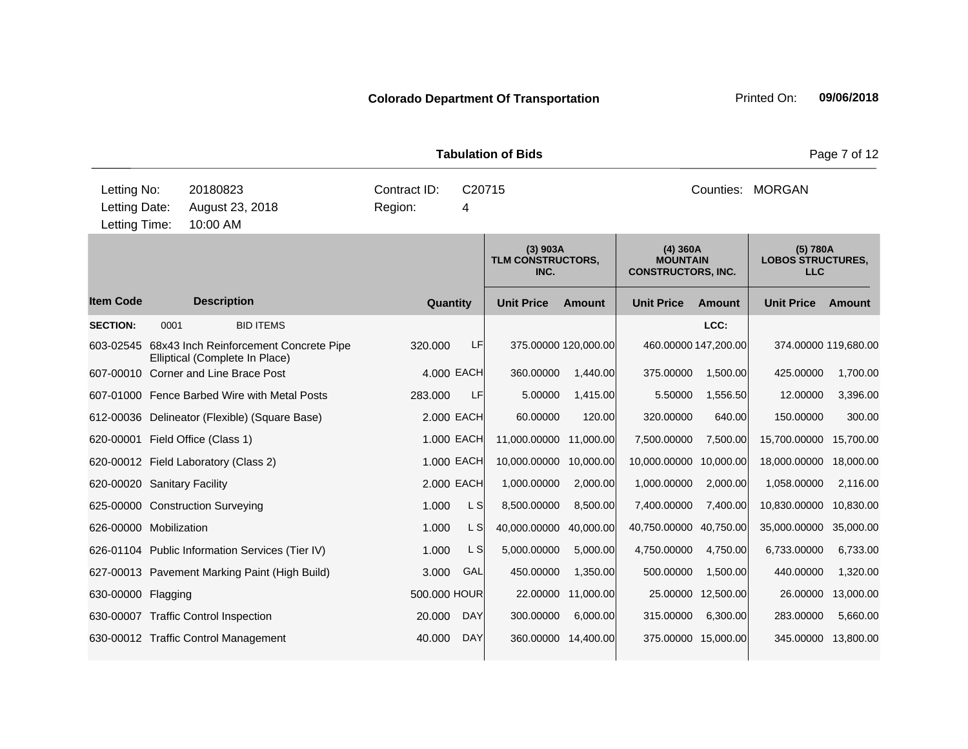**Quantity Unit Price Unit Price Ext** Item Code Description Quantity Unit Price Amount Unit Price Amount Unit Price **Ext Unit Price Amount Ext Amount (3) 903A TLM CONSTRUCTORS, INC. (4) 360A MOUNTAIN CONSTRUCTORS, INC. (5) 780A LOBOS STRUCTURES, LLC Description SECTION:** 0001 BID ITEMS **LCC:** 603-02545 68x43 Inch Reinforcement Concrete Pipe Elliptical (Complete In Place) 320.000 LF 375.00000 120,000.00 460.00000 147,200.00 374.00000 119,680.00 607-00010 Corner and Line Brace Post 4.000 EACH 360.00000 1,440.00 375.00000 1,500.00 425.00000 1,700.00 607-01000 Fence Barbed Wire with Metal Posts 283.000 LF 5.00000 1,415.00 5.50000 1,556.50 12.00000 3,396.00 612-00036 Delineator (Flexible) (Square Base) 2.000 EACH 60.00000 120.00 320.00000 640.00 150.00000 300.00 620-00001 Field Office (Class 1) 1.000 EACH 11,000.00000 11,000.00 7,500.00000 7,500.00 15,700.00000 15,700.00 620-00012 Field Laboratory (Class 2) 1.000 EACH 10,000.00000 10,000.00 10,000.00000 10,000.00 18,000.00000 18,000.00 620-00020 Sanitary Facility 2.000 EACH 1,000.00000 2,000.00 1,000.00000 2,000.00 1,058.00000 2,116.00 625-00000 Construction Surveying  $1.000$  L S 8,500.00000 8,500.00 7,400.0000 7,400.00 10,830.0000 10,830.00 626-00000 Mobilization 1.000 L S 40,000.00000 40,000.00 40,750.00000 40,750.00 35,000.00000 35,000.00 626-01104 Public Information Services (Tier IV) 1.000 L S 5,000.00000 5,000.00 4,750.00000 4,750.00 6,733.00000 6,733.00 627-00013 Pavement Marking Paint (High Build) 3.000 GAL 450.00000 1,350.00 500.00000 1,500.00 440.00000 1,320.00 630-00000 Flagging 500.000 HOUR 22.00000 11,000.00 25.00000 12,500.00 26.00000 13,000.00 630-00007 Traffic Control Inspection 20.000 DAY 300.00000 6,000.00 315.00000 6,300.00 283.00000 5,660.00 630-00012 Traffic Control Management 40.000 DAY 360.00000 14,400.00 375.00000 15,000.00 345.00000 13,800.00 **Tabulation of Bids Page 7 of 12** 10:00 AM Counties: MORGAN Letting Date: August 23, 2018 Region: 4 C20715 Region: Letting Time: Letting No: 20180823 Contract ID: Counties: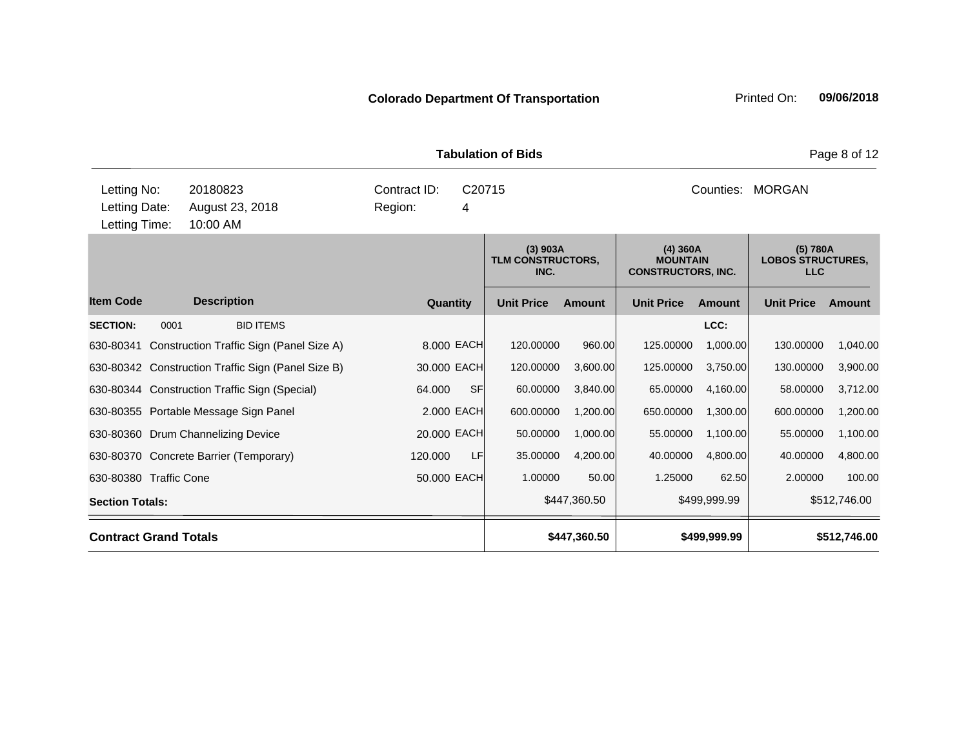**Quantity Unit Price Unit Price Ext Ext Amount (3) 903A TLM CONSTRUCTORS, INC. (4) 360A MOUNTAIN CONSTRUCTORS, INC. (5) 780A LOBOS STRUCTURES, LLC Description Tabulation of Bids** Page 8 of 12 10:00 AM Counties: MORGAN Letting Date: August 23, 2018 Region: 4 C20715 Region: Letting Time: Letting No: 20180823 Contract ID: Counties:

| <b>Item Code</b>       | <b>Description</b>                                 | Quantity       | <b>Unit Price</b> | <b>Amount</b> | <b>Unit Price</b> | <b>Amount</b> | <b>Unit Price</b> | Amount       |
|------------------------|----------------------------------------------------|----------------|-------------------|---------------|-------------------|---------------|-------------------|--------------|
| <b>SECTION:</b>        | 0001<br><b>BID ITEMS</b>                           |                |                   |               |                   | LCC:          |                   |              |
|                        | 630-80341 Construction Traffic Sign (Panel Size A) | 8.000 EACH     | 120,00000         | 960.00        | 125.00000         | 1,000.00      | 130.00000         | 1,040.00     |
|                        | 630-80342 Construction Traffic Sign (Panel Size B) | 30.000 EACH    | 120.00000         | 3,600.00      | 125.00000         | 3,750.00      | 130.00000         | 3,900.00     |
|                        | 630-80344 Construction Traffic Sign (Special)      | SFI<br>64.000  | 60.00000          | 3,840.00      | 65.00000          | 4,160.00      | 58.00000          | 3,712.00     |
|                        | 630-80355 Portable Message Sign Panel              | 2.000 EACH     | 600.00000         | 1,200.00      | 650.00000         | 1,300.00      | 600.00000         | 1,200.00     |
|                        | 630-80360 Drum Channelizing Device                 | 20.000 EACH    | 50.00000          | 1,000.00      | 55.00000          | 1,100.00      | 55.00000          | 1,100.00     |
|                        | 630-80370 Concrete Barrier (Temporary)             | LF.<br>120,000 | 35.00000          | 4,200.00      | 40.00000          | 4,800.00      | 40.00000          | 4,800.00     |
|                        | 630-80380 Traffic Cone                             | 50.000 EACH    | 1.00000           | 50.00         | 1.25000           | 62.50         | 2.00000           | 100.00       |
| <b>Section Totals:</b> |                                                    |                |                   | \$447,360.50  |                   | \$499,999.99  |                   | \$512,746.00 |
|                        | <b>Contract Grand Totals</b>                       |                |                   | \$447,360.50  |                   | \$499,999.99  |                   | \$512,746.00 |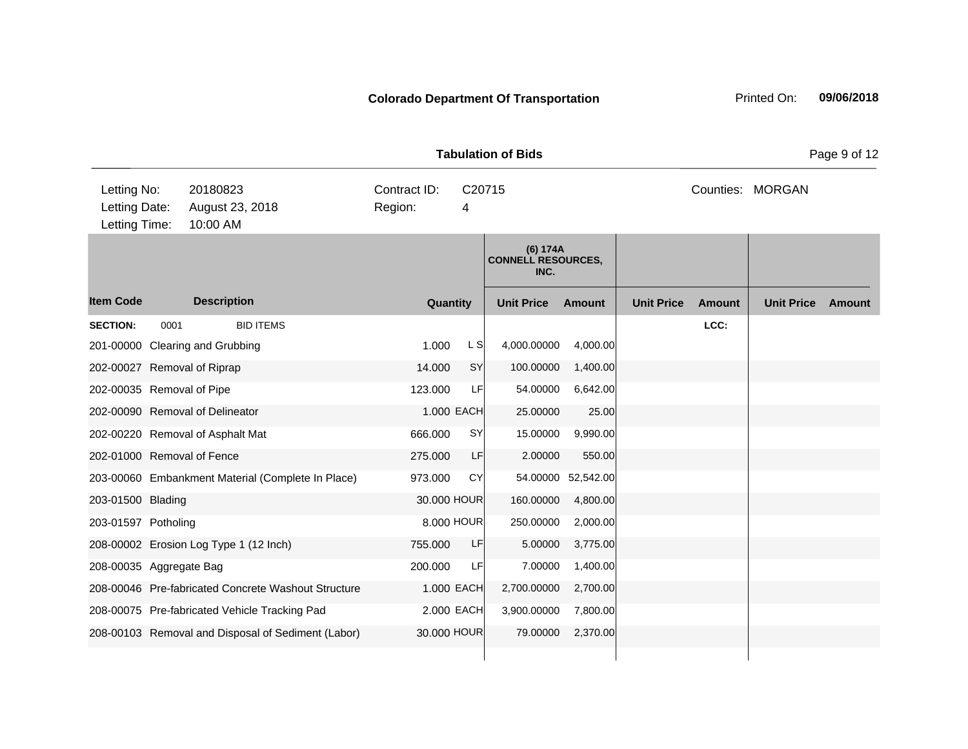|                                               |      |                                                     |                         |             |                         | <b>Tabulation of Bids</b>                     |               |                   |               |                   | Page 9 of 12 |
|-----------------------------------------------|------|-----------------------------------------------------|-------------------------|-------------|-------------------------|-----------------------------------------------|---------------|-------------------|---------------|-------------------|--------------|
| Letting No:<br>Letting Date:<br>Letting Time: |      | 20180823<br>August 23, 2018<br>10:00 AM             | Contract ID:<br>Region: |             | C <sub>20715</sub><br>4 |                                               |               |                   |               | Counties: MORGAN  |              |
|                                               |      |                                                     |                         |             |                         | (6) 174A<br><b>CONNELL RESOURCES,</b><br>INC. |               |                   |               |                   |              |
| <b>Item Code</b>                              |      | <b>Description</b>                                  |                         | Quantity    |                         | <b>Unit Price</b>                             | <b>Amount</b> | <b>Unit Price</b> | <b>Amount</b> | <b>Unit Price</b> | Amount       |
| <b>SECTION:</b>                               | 0001 | <b>BID ITEMS</b>                                    |                         |             |                         |                                               |               |                   | LCC:          |                   |              |
|                                               |      | 201-00000 Clearing and Grubbing                     |                         | 1.000       | L S                     | 4,000.00000                                   | 4,000.00      |                   |               |                   |              |
| 202-00027 Removal of Riprap                   |      |                                                     |                         | 14.000      | SY                      | 100.00000                                     | 1,400.00      |                   |               |                   |              |
| 202-00035 Removal of Pipe                     |      |                                                     |                         | 123.000     | LF                      | 54.00000                                      | 6,642.00      |                   |               |                   |              |
|                                               |      | 202-00090 Removal of Delineator                     |                         | 1.000 EACH  |                         | 25.00000                                      | 25.00         |                   |               |                   |              |
|                                               |      | 202-00220 Removal of Asphalt Mat                    |                         | 666.000     | SY                      | 15.00000                                      | 9,990.00      |                   |               |                   |              |
| 202-01000 Removal of Fence                    |      |                                                     |                         | 275.000     | LF                      | 2.00000                                       | 550.00        |                   |               |                   |              |
|                                               |      | 203-00060 Embankment Material (Complete In Place)   |                         | 973.000     | CY                      | 54.00000                                      | 52,542.00     |                   |               |                   |              |
| 203-01500 Blading                             |      |                                                     |                         | 30.000 HOUR |                         | 160.00000                                     | 4,800.00      |                   |               |                   |              |
| 203-01597 Potholing                           |      |                                                     |                         | 8.000 HOUR  |                         | 250.00000                                     | 2,000.00      |                   |               |                   |              |
|                                               |      | 208-00002 Erosion Log Type 1 (12 Inch)              |                         | 755.000     | LF                      | 5.00000                                       | 3,775.00      |                   |               |                   |              |
| 208-00035 Aggregate Bag                       |      |                                                     |                         | 200.000     | LF                      | 7.00000                                       | 1,400.00      |                   |               |                   |              |
|                                               |      | 208-00046 Pre-fabricated Concrete Washout Structure |                         | 1.000 EACH  |                         | 2,700.00000                                   | 2,700.00      |                   |               |                   |              |
|                                               |      | 208-00075 Pre-fabricated Vehicle Tracking Pad       |                         | 2.000 EACH  |                         | 3,900.00000                                   | 7,800.00      |                   |               |                   |              |
|                                               |      | 208-00103 Removal and Disposal of Sediment (Labor)  |                         | 30.000 HOUR |                         | 79.00000                                      | 2,370.00      |                   |               |                   |              |

 $\overline{\phantom{a}}$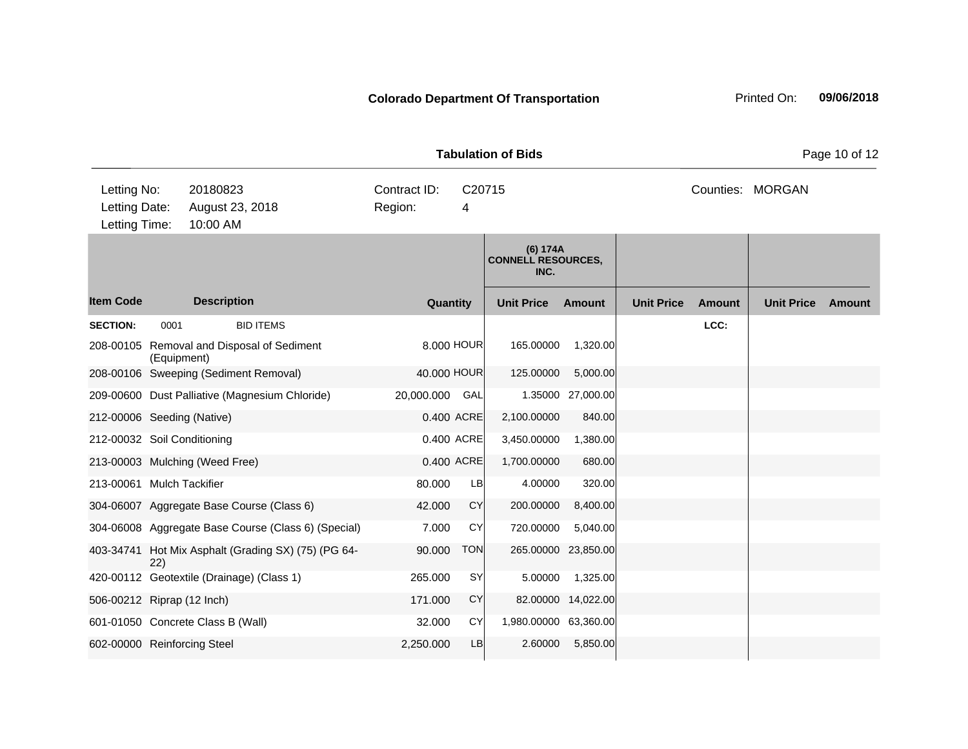|                                               |                                         |                                                     | <b>Tabulation of Bids</b>              |            | Page 10 of 12                                 |                    |                   |               |                   |               |
|-----------------------------------------------|-----------------------------------------|-----------------------------------------------------|----------------------------------------|------------|-----------------------------------------------|--------------------|-------------------|---------------|-------------------|---------------|
| Letting No:<br>Letting Date:<br>Letting Time: | 20180823<br>August 23, 2018<br>10:00 AM |                                                     | Contract ID:<br>C20715<br>Region:<br>4 |            |                                               |                    |                   |               | Counties: MORGAN  |               |
|                                               |                                         |                                                     |                                        |            | (6) 174A<br><b>CONNELL RESOURCES,</b><br>INC. |                    |                   |               |                   |               |
| <b>Item Code</b>                              |                                         | <b>Description</b>                                  | Quantity                               |            | <b>Unit Price</b>                             | Amount             | <b>Unit Price</b> | <b>Amount</b> | <b>Unit Price</b> | <b>Amount</b> |
| <b>SECTION:</b>                               | 0001                                    | <b>BID ITEMS</b>                                    |                                        |            |                                               |                    |                   | LCC:          |                   |               |
|                                               | (Equipment)                             | 208-00105 Removal and Disposal of Sediment          |                                        | 8,000 HOUR | 165.00000                                     | 1,320.00           |                   |               |                   |               |
|                                               |                                         | 208-00106 Sweeping (Sediment Removal)               | 40.000 HOUR                            |            | 125.00000                                     | 5,000.00           |                   |               |                   |               |
|                                               |                                         | 209-00600 Dust Palliative (Magnesium Chloride)      | 20,000.000                             | GAL        | 1.35000                                       | 27,000.00          |                   |               |                   |               |
| 212-00006 Seeding (Native)                    |                                         |                                                     |                                        | 0.400 ACRE | 2,100.00000                                   | 840.00             |                   |               |                   |               |
| 212-00032 Soil Conditioning                   |                                         |                                                     |                                        | 0.400 ACRE | 3,450.00000                                   | 1,380.00           |                   |               |                   |               |
|                                               |                                         | 213-00003 Mulching (Weed Free)                      |                                        | 0.400 ACRE | 1,700.00000                                   | 680.00             |                   |               |                   |               |
| 213-00061 Mulch Tackifier                     |                                         |                                                     | 80.000                                 | <b>LB</b>  | 4.00000                                       | 320.00             |                   |               |                   |               |
|                                               |                                         | 304-06007 Aggregate Base Course (Class 6)           | 42.000                                 | <b>CY</b>  | 200.00000                                     | 8,400.00           |                   |               |                   |               |
|                                               |                                         | 304-06008 Aggregate Base Course (Class 6) (Special) | 7.000                                  | CY         | 720.00000                                     | 5,040.00           |                   |               |                   |               |
|                                               | 22)                                     | 403-34741 Hot Mix Asphalt (Grading SX) (75) (PG 64- | 90.000                                 | <b>TON</b> | 265.00000                                     | 23,850.00          |                   |               |                   |               |
|                                               |                                         | 420-00112 Geotextile (Drainage) (Class 1)           | 265.000                                | <b>SY</b>  | 5.00000                                       | 1,325.00           |                   |               |                   |               |
| 506-00212 Riprap (12 Inch)                    |                                         |                                                     | 171.000                                | <b>CY</b>  |                                               | 82.00000 14,022.00 |                   |               |                   |               |

601-01050 Concrete Class B (Wall) 32.000 CY 1,980.00000 63,360.00 602-00000 Reinforcing Steel 2,250.000 LB 2,250.000 2.60000 5,850.00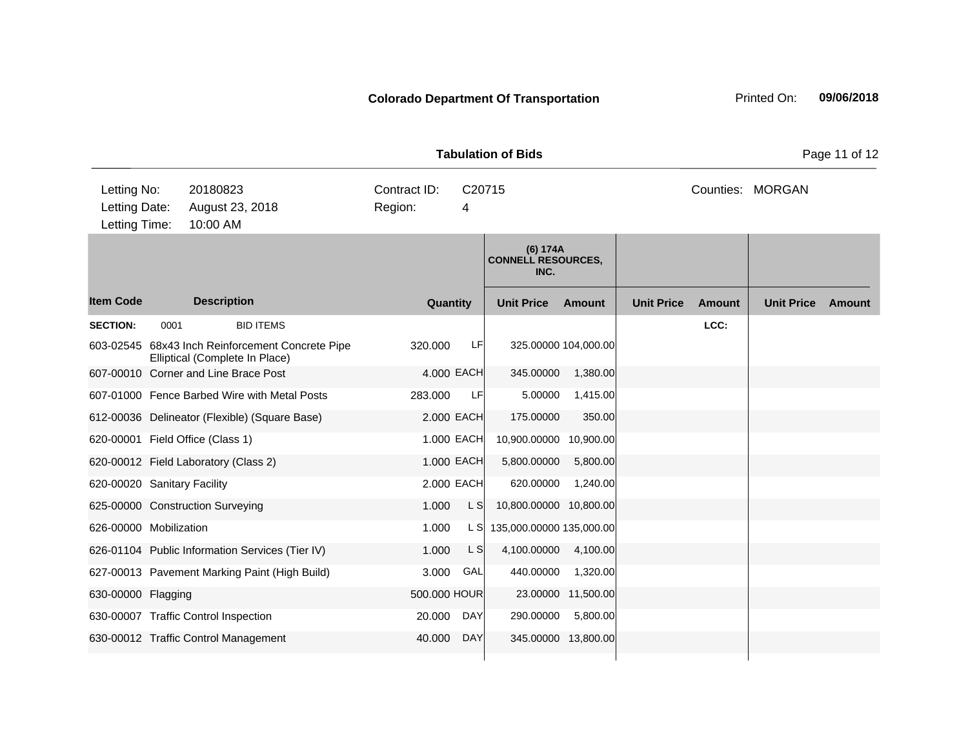**Tabulation of Bids** Page 11 of 12

| Letting No:<br>Letting Date:<br>Letting Time: |      | 20180823<br>August 23, 2018<br>10:00 AM                                  | Contract ID:<br>Region: | C20715<br>4 |                                               |                    |                   |        | Counties: MORGAN  |        |
|-----------------------------------------------|------|--------------------------------------------------------------------------|-------------------------|-------------|-----------------------------------------------|--------------------|-------------------|--------|-------------------|--------|
|                                               |      |                                                                          |                         |             | (6) 174A<br><b>CONNELL RESOURCES,</b><br>INC. |                    |                   |        |                   |        |
| <b>Item Code</b>                              |      | <b>Description</b>                                                       | Quantity                |             | <b>Unit Price</b>                             | Amount             | <b>Unit Price</b> | Amount | <b>Unit Price</b> | Amount |
| <b>SECTION:</b>                               | 0001 | <b>BID ITEMS</b>                                                         |                         |             |                                               |                    |                   | LCC:   |                   |        |
| 603-02545                                     |      | 68x43 Inch Reinforcement Concrete Pipe<br>Elliptical (Complete In Place) | 320.000                 | LF          | 325.00000 104,000.00                          |                    |                   |        |                   |        |
|                                               |      | 607-00010 Corner and Line Brace Post                                     |                         | 4.000 EACH  | 345.00000                                     | 1,380.00           |                   |        |                   |        |
|                                               |      | 607-01000 Fence Barbed Wire with Metal Posts                             | 283.000                 | LF          | 5.00000                                       | 1,415.00           |                   |        |                   |        |
|                                               |      | 612-00036 Delineator (Flexible) (Square Base)                            |                         | 2.000 EACH  | 175.00000                                     | 350.00             |                   |        |                   |        |
|                                               |      | 620-00001 Field Office (Class 1)                                         |                         | 1.000 EACH  | 10,900.00000                                  | 10,900.00          |                   |        |                   |        |
|                                               |      | 620-00012 Field Laboratory (Class 2)                                     |                         | 1.000 EACH  | 5,800.00000                                   | 5,800.00           |                   |        |                   |        |
| 620-00020 Sanitary Facility                   |      |                                                                          |                         | 2.000 EACH  | 620.00000                                     | 1,240.00           |                   |        |                   |        |
|                                               |      | 625-00000 Construction Surveying                                         | 1.000                   | L S         | 10,800.00000 10,800.00                        |                    |                   |        |                   |        |
| 626-00000 Mobilization                        |      |                                                                          | 1.000                   | L SI        | 135,000.00000 135,000.00                      |                    |                   |        |                   |        |
|                                               |      | 626-01104 Public Information Services (Tier IV)                          | 1.000                   | L S         | 4,100.00000                                   | 4,100.00           |                   |        |                   |        |
|                                               |      | 627-00013 Pavement Marking Paint (High Build)                            | 3.000                   | GAL         | 440.00000                                     | 1,320.00           |                   |        |                   |        |
| 630-00000 Flagging                            |      |                                                                          | 500.000 HOUR            |             |                                               | 23.00000 11,500.00 |                   |        |                   |        |
|                                               |      | 630-00007 Traffic Control Inspection                                     | 20.000                  | <b>DAY</b>  | 290.00000                                     | 5,800.00           |                   |        |                   |        |
|                                               |      | 630-00012 Traffic Control Management                                     | 40.000                  | <b>DAY</b>  | 345.00000 13,800.00                           |                    |                   |        |                   |        |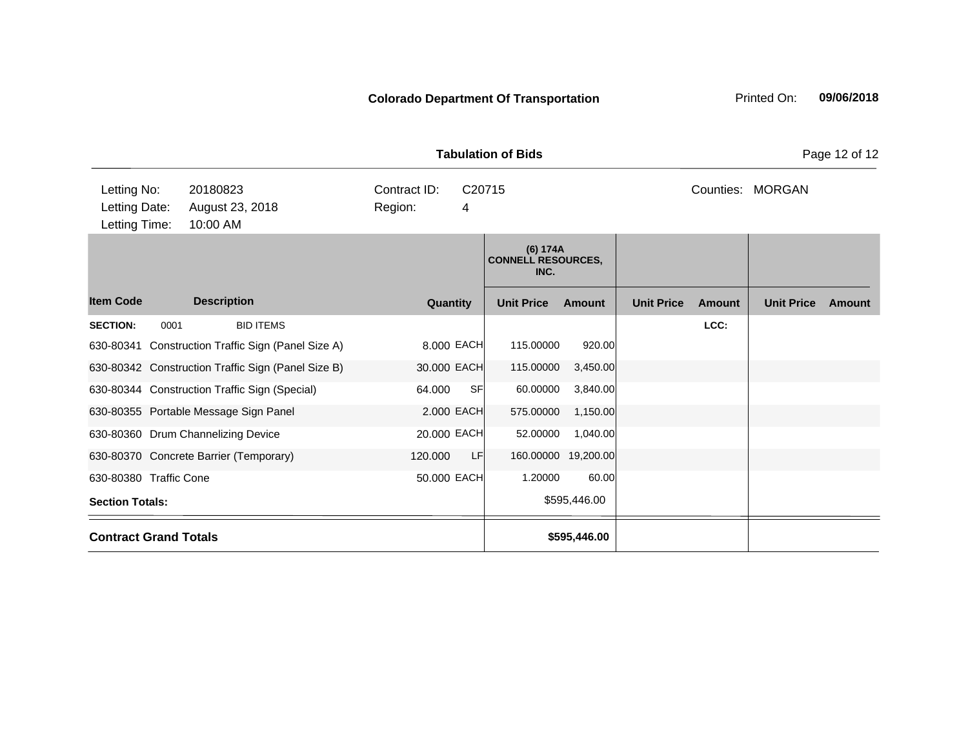|                        |                                                                                          |                                                    |             |             | <b>Tabulation of Bids</b>                     |                     |                   |           |                   | Page 12 of 12 |
|------------------------|------------------------------------------------------------------------------------------|----------------------------------------------------|-------------|-------------|-----------------------------------------------|---------------------|-------------------|-----------|-------------------|---------------|
|                        | Letting No:<br>20180823<br>Letting Date:<br>August 23, 2018<br>10:00 AM<br>Letting Time: |                                                    |             | C20715<br>4 |                                               |                     |                   | Counties: | <b>MORGAN</b>     |               |
|                        |                                                                                          |                                                    |             |             | (6) 174A<br><b>CONNELL RESOURCES,</b><br>INC. |                     |                   |           |                   |               |
| <b>Item Code</b>       |                                                                                          | <b>Description</b>                                 | Quantity    |             | <b>Unit Price</b>                             | <b>Amount</b>       | <b>Unit Price</b> | Amount    | <b>Unit Price</b> | Amount        |
| <b>SECTION:</b>        | 0001                                                                                     | <b>BID ITEMS</b>                                   |             |             |                                               |                     |                   | LCC:      |                   |               |
| 630-80341              |                                                                                          | Construction Traffic Sign (Panel Size A)           |             | 8.000 EACH  | 115.00000                                     | 920.00              |                   |           |                   |               |
|                        |                                                                                          | 630-80342 Construction Traffic Sign (Panel Size B) | 30.000 EACH |             | 115.00000                                     | 3,450.00            |                   |           |                   |               |
|                        |                                                                                          | 630-80344 Construction Traffic Sign (Special)      | 64.000      | SF          | 60.00000                                      | 3,840.00            |                   |           |                   |               |
|                        |                                                                                          | 630-80355 Portable Message Sign Panel              |             | 2.000 EACH  | 575.00000                                     | 1,150.00            |                   |           |                   |               |
|                        |                                                                                          | 630-80360 Drum Channelizing Device                 | 20.000 EACH |             | 52.00000                                      | 1,040.00            |                   |           |                   |               |
|                        |                                                                                          | 630-80370 Concrete Barrier (Temporary)             | 120.000     | LF          |                                               | 160.00000 19,200.00 |                   |           |                   |               |
| 630-80380 Traffic Cone |                                                                                          |                                                    | 50.000 EACH |             | 1.20000                                       | 60.00               |                   |           |                   |               |
| <b>Section Totals:</b> |                                                                                          |                                                    |             |             |                                               | \$595,446.00        |                   |           |                   |               |
|                        | <b>Contract Grand Totals</b>                                                             |                                                    |             |             |                                               | \$595,446.00        |                   |           |                   |               |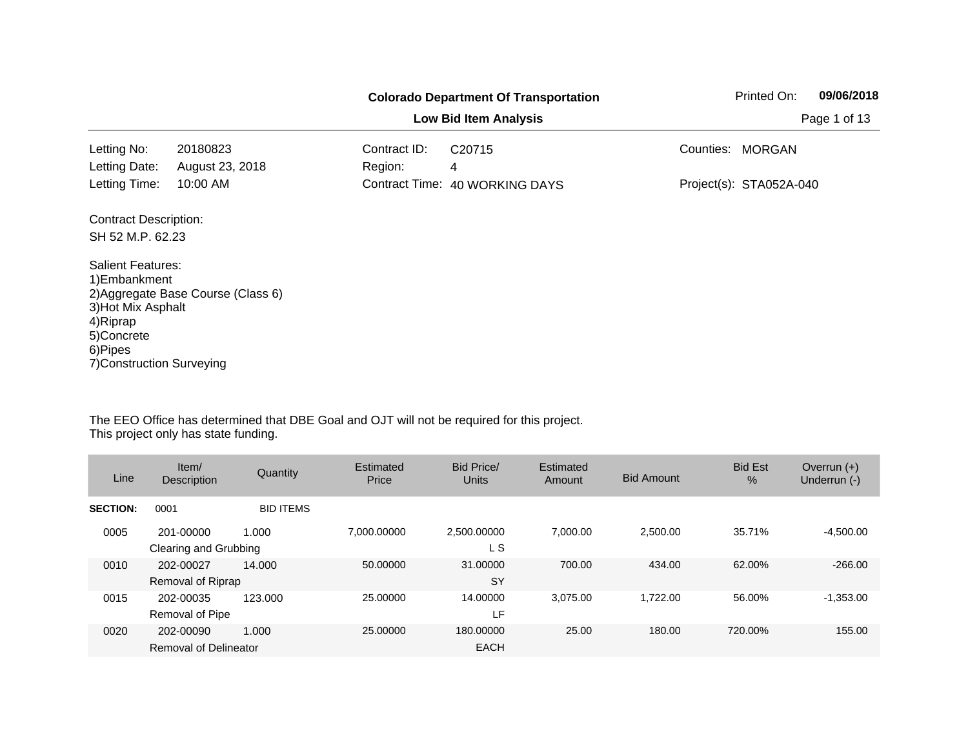|                                                                                                                                    |                                    |                         | <b>Colorado Department Of Transportation</b> |           | Printed On:             | 09/06/2018   |
|------------------------------------------------------------------------------------------------------------------------------------|------------------------------------|-------------------------|----------------------------------------------|-----------|-------------------------|--------------|
|                                                                                                                                    |                                    |                         | <b>Low Bid Item Analysis</b>                 |           |                         | Page 1 of 13 |
| Letting No:<br>Letting Date:                                                                                                       | 20180823<br>August 23, 2018        | Contract ID:<br>Region: | C <sub>20715</sub><br>4                      | Counties: | <b>MORGAN</b>           |              |
| Letting Time:                                                                                                                      | 10:00 AM                           |                         | Contract Time: 40 WORKING DAYS               |           | Project(s): STA052A-040 |              |
| <b>Contract Description:</b><br>SH 52 M.P. 62.23                                                                                   |                                    |                         |                                              |           |                         |              |
| <b>Salient Features:</b><br>1) Embankment<br>3) Hot Mix Asphalt<br>4) Riprap<br>5)Concrete<br>6)Pipes<br>7) Construction Surveying | 2) Aggregate Base Course (Class 6) |                         |                                              |           |                         |              |

| Line            | Item/<br>Description                | Quantity         | Estimated<br>Price | <b>Bid Price/</b><br><b>Units</b> | Estimated<br>Amount | <b>Bid Amount</b> | <b>Bid Est</b><br>$\%$ | Overrun $(+)$<br>Underrun (-) |
|-----------------|-------------------------------------|------------------|--------------------|-----------------------------------|---------------------|-------------------|------------------------|-------------------------------|
| <b>SECTION:</b> | 0001                                | <b>BID ITEMS</b> |                    |                                   |                     |                   |                        |                               |
| 0005            | 201-00000<br>Clearing and Grubbing  | 1.000            | 7.000.00000        | 2,500.00000<br>L S                | 7.000.00            | 2,500.00          | 35.71%                 | $-4.500.00$                   |
| 0010            | 202-00027<br>Removal of Riprap      | 14.000           | 50.00000           | 31.00000<br><b>SY</b>             | 700.00              | 434.00            | 62.00%                 | $-266.00$                     |
| 0015            | 202-00035<br><b>Removal of Pipe</b> | 123,000          | 25.00000           | 14.00000<br>LF                    | 3.075.00            | 1,722.00          | 56.00%                 | $-1,353.00$                   |
| 0020            | 202-00090<br>Removal of Delineator  | 1.000            | 25,00000           | 180,00000<br><b>EACH</b>          | 25.00               | 180.00            | 720.00%                | 155.00                        |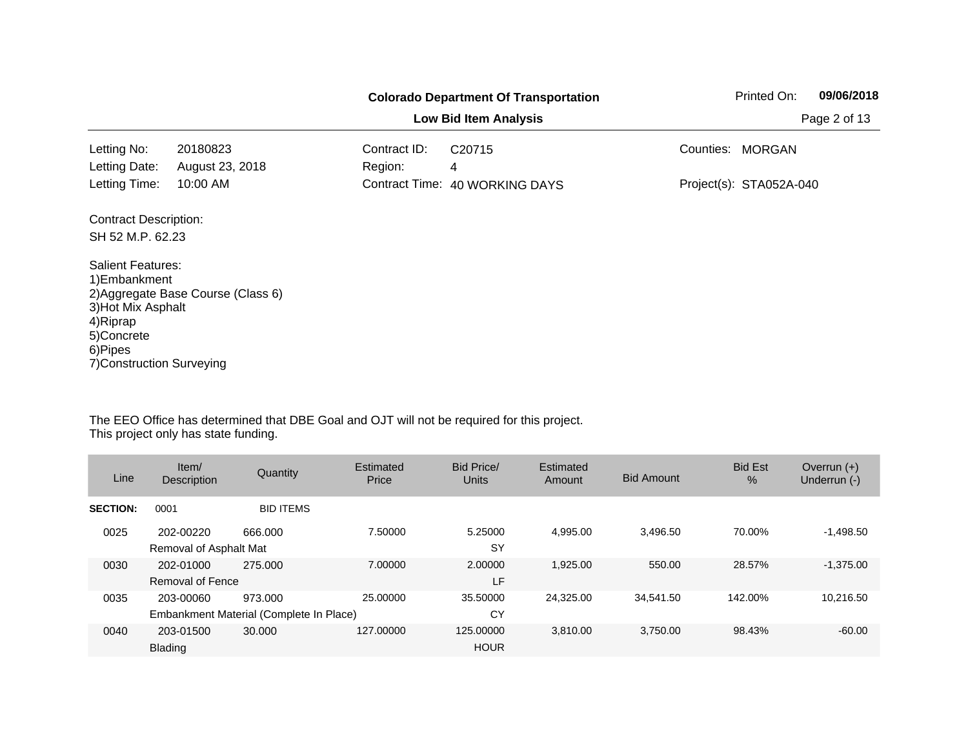|                                                                                                                                    |                                    |                         | <b>Colorado Department Of Transportation</b> |           | Printed On:             | 09/06/2018 |  |
|------------------------------------------------------------------------------------------------------------------------------------|------------------------------------|-------------------------|----------------------------------------------|-----------|-------------------------|------------|--|
| <b>Low Bid Item Analysis</b>                                                                                                       |                                    |                         |                                              |           |                         |            |  |
| Letting No:<br>Letting Date:                                                                                                       | 20180823<br>August 23, 2018        | Contract ID:<br>Region: | C <sub>20715</sub>                           | Counties: | <b>MORGAN</b>           |            |  |
| Letting Time:                                                                                                                      | 10:00 AM                           |                         | 4<br>Contract Time: 40 WORKING DAYS          |           | Project(s): STA052A-040 |            |  |
| <b>Contract Description:</b>                                                                                                       |                                    |                         |                                              |           |                         |            |  |
| SH 52 M.P. 62.23                                                                                                                   |                                    |                         |                                              |           |                         |            |  |
| <b>Salient Features:</b><br>1) Embankment<br>3) Hot Mix Asphalt<br>4) Riprap<br>5)Concrete<br>6)Pipes<br>7) Construction Surveying | 2) Aggregate Base Course (Class 6) |                         |                                              |           |                         |            |  |

| Line            | Item/<br><b>Description</b>         | Quantity                                           | Estimated<br>Price | Bid Price/<br><b>Units</b> | Estimated<br>Amount | <b>Bid Amount</b> | <b>Bid Est</b><br>$\%$ | Overrun $(+)$<br>Underrun (-) |
|-----------------|-------------------------------------|----------------------------------------------------|--------------------|----------------------------|---------------------|-------------------|------------------------|-------------------------------|
| <b>SECTION:</b> | 0001                                | <b>BID ITEMS</b>                                   |                    |                            |                     |                   |                        |                               |
| 0025            | 202-00220<br>Removal of Asphalt Mat | 666,000                                            | 7.50000            | 5.25000<br><b>SY</b>       | 4.995.00            | 3,496.50          | 70.00%                 | $-1,498.50$                   |
| 0030            | 202-01000<br>Removal of Fence       | 275,000                                            | 7.00000            | 2.00000<br>LF              | 1.925.00            | 550.00            | 28.57%                 | $-1,375.00$                   |
| 0035            | 203-00060                           | 973.000<br>Embankment Material (Complete In Place) | 25.00000           | 35.50000<br>CY             | 24,325.00           | 34,541.50         | 142.00%                | 10,216.50                     |
| 0040            | 203-01500<br>Blading                | 30,000                                             | 127.00000          | 125,00000<br><b>HOUR</b>   | 3.810.00            | 3,750.00          | 98.43%                 | $-60.00$                      |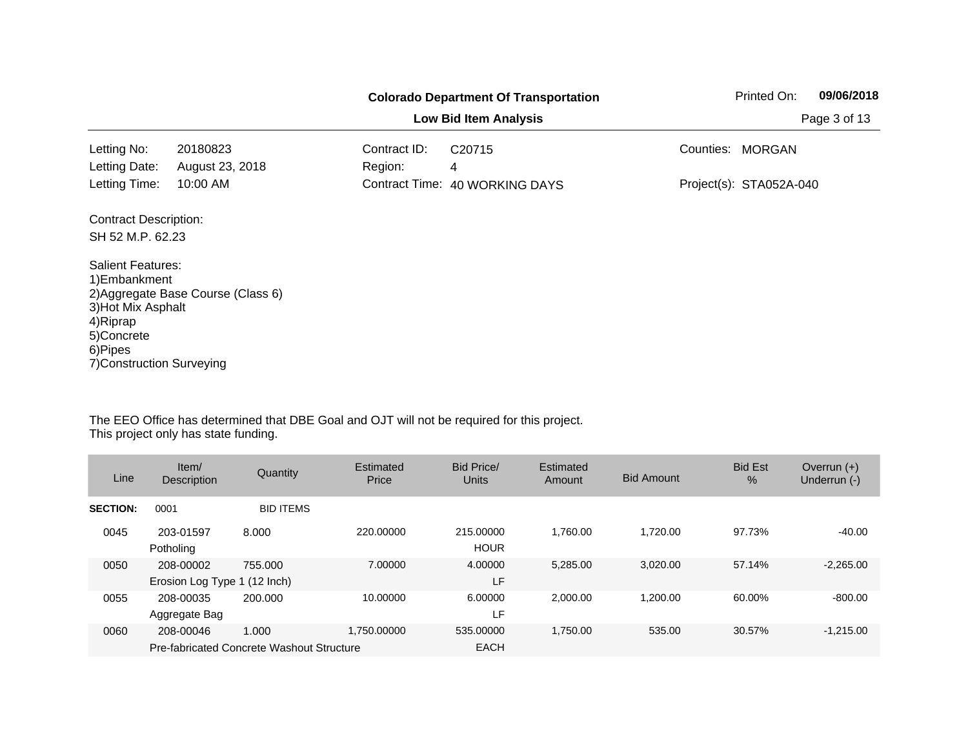|                                                                                                                                    |                                    |                         | <b>Colorado Department Of Transportation</b> |           | Printed On:             | 09/06/2018   |
|------------------------------------------------------------------------------------------------------------------------------------|------------------------------------|-------------------------|----------------------------------------------|-----------|-------------------------|--------------|
|                                                                                                                                    |                                    |                         | <b>Low Bid Item Analysis</b>                 |           |                         | Page 3 of 13 |
| Letting No:<br>Letting Date:                                                                                                       | 20180823<br>August 23, 2018        | Contract ID:<br>Region: | C <sub>20715</sub>                           | Counties: | <b>MORGAN</b>           |              |
| Letting Time:                                                                                                                      | 10:00 AM                           |                         | 4<br>Contract Time: 40 WORKING DAYS          |           | Project(s): STA052A-040 |              |
| <b>Contract Description:</b>                                                                                                       |                                    |                         |                                              |           |                         |              |
| SH 52 M.P. 62.23                                                                                                                   |                                    |                         |                                              |           |                         |              |
| <b>Salient Features:</b><br>1) Embankment<br>3) Hot Mix Asphalt<br>4) Riprap<br>5)Concrete<br>6)Pipes<br>7) Construction Surveying | 2) Aggregate Base Course (Class 6) |                         |                                              |           |                         |              |

| Line            | Item/<br><b>Description</b>               | Quantity                                           | Estimated<br>Price | <b>Bid Price/</b><br><b>Units</b> | Estimated<br>Amount | <b>Bid Amount</b> | <b>Bid Est</b><br>$\%$ | Overrun $(+)$<br>Underrun (-) |
|-----------------|-------------------------------------------|----------------------------------------------------|--------------------|-----------------------------------|---------------------|-------------------|------------------------|-------------------------------|
| <b>SECTION:</b> | 0001                                      | <b>BID ITEMS</b>                                   |                    |                                   |                     |                   |                        |                               |
| 0045            | 203-01597<br>Potholing                    | 8.000                                              | 220,00000          | 215,00000<br><b>HOUR</b>          | 1.760.00            | 1.720.00          | 97.73%                 | $-40.00$                      |
| 0050            | 208-00002<br>Erosion Log Type 1 (12 Inch) | 755.000                                            | 7.00000            | 4.00000<br>LF                     | 5.285.00            | 3,020.00          | 57.14%                 | $-2,265.00$                   |
| 0055            | 208-00035<br>Aggregate Bag                | 200.000                                            | 10.00000           | 6.00000<br>LF                     | 2.000.00            | 1.200.00          | 60.00%                 | $-800.00$                     |
| 0060            | 208-00046                                 | 1.000<br>Pre-fabricated Concrete Washout Structure | 1.750.00000        | 535,00000<br><b>EACH</b>          | 1.750.00            | 535.00            | 30.57%                 | $-1,215.00$                   |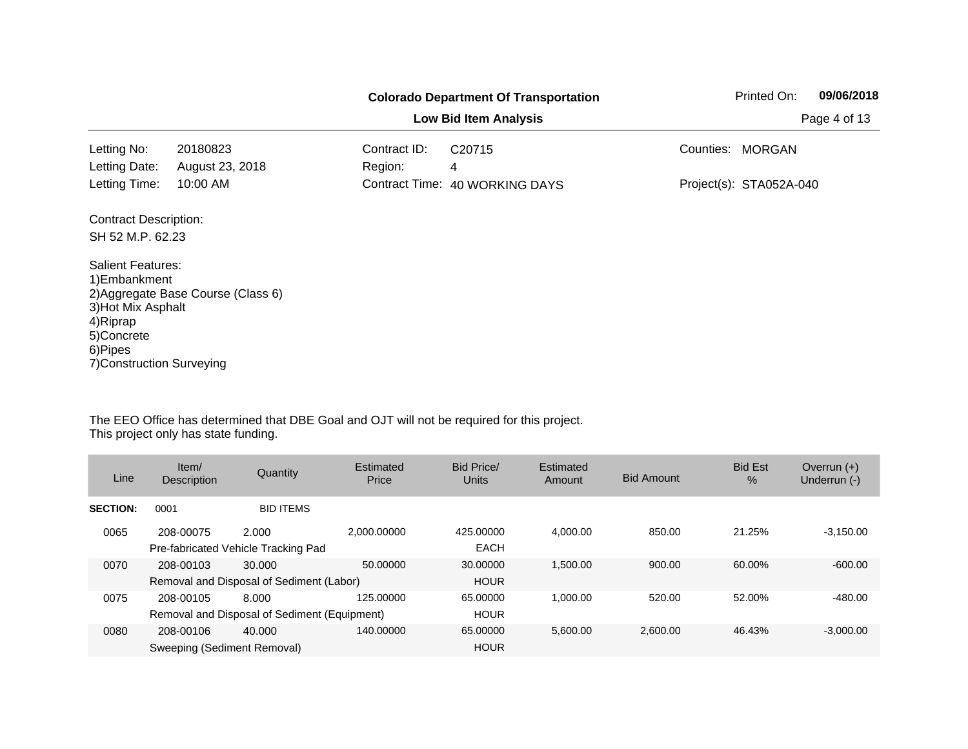|                                                                                                                                    |                                    |                         | <b>Colorado Department Of Transportation</b> |           | Printed On:             | 09/06/2018 |
|------------------------------------------------------------------------------------------------------------------------------------|------------------------------------|-------------------------|----------------------------------------------|-----------|-------------------------|------------|
|                                                                                                                                    |                                    | Page 4 of 13            |                                              |           |                         |            |
| Letting No:<br>Letting Date:                                                                                                       | 20180823<br>August 23, 2018        | Contract ID:<br>Region: | C <sub>20715</sub><br>4                      | Counties: | <b>MORGAN</b>           |            |
| Letting Time:                                                                                                                      | 10:00 AM                           |                         | Contract Time: 40 WORKING DAYS               |           | Project(s): STA052A-040 |            |
| <b>Contract Description:</b><br>SH 52 M.P. 62.23                                                                                   |                                    |                         |                                              |           |                         |            |
| <b>Salient Features:</b><br>1) Embankment<br>3) Hot Mix Asphalt<br>4) Riprap<br>5)Concrete<br>6)Pipes<br>7) Construction Surveying | 2) Aggregate Base Course (Class 6) |                         |                                              |           |                         |            |

| Line            | Item/<br>Description                     | Quantity                                              | Estimated<br>Price | Bid Price/<br>Units      | Estimated<br>Amount | <b>Bid Amount</b> | <b>Bid Est</b><br>$\%$ | Overrun $(+)$<br>Underrun (-) |
|-----------------|------------------------------------------|-------------------------------------------------------|--------------------|--------------------------|---------------------|-------------------|------------------------|-------------------------------|
| <b>SECTION:</b> | 0001                                     | <b>BID ITEMS</b>                                      |                    |                          |                     |                   |                        |                               |
| 0065            | 208-00075                                | 2.000<br>Pre-fabricated Vehicle Tracking Pad          | 2.000.00000        | 425.00000<br><b>EACH</b> | 4.000.00            | 850.00            | 21.25%                 | $-3,150.00$                   |
| 0070            | 208-00103                                | 30.000<br>Removal and Disposal of Sediment (Labor)    | 50.00000           | 30,00000<br><b>HOUR</b>  | 1.500.00            | 900.00            | 60.00%                 | $-600.00$                     |
| 0075            | 208-00105                                | 8.000<br>Removal and Disposal of Sediment (Equipment) | 125.00000          | 65.00000<br><b>HOUR</b>  | 1.000.00            | 520.00            | 52.00%                 | $-480.00$                     |
| 0080            | 208-00106<br>Sweeping (Sediment Removal) | 40.000                                                | 140.00000          | 65.00000<br><b>HOUR</b>  | 5.600.00            | 2.600.00          | 46.43%                 | $-3.000.00$                   |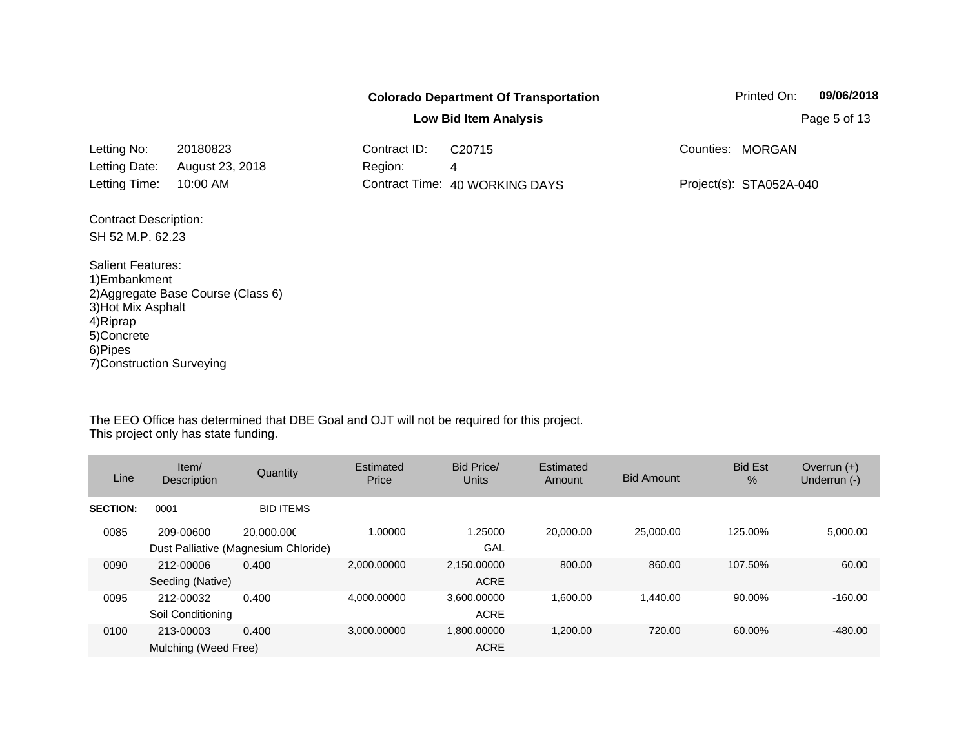|                                                                                                                                    |                                    |              | <b>Colorado Department Of Transportation</b> |           | Printed On:             | 09/06/2018   |
|------------------------------------------------------------------------------------------------------------------------------------|------------------------------------|--------------|----------------------------------------------|-----------|-------------------------|--------------|
|                                                                                                                                    |                                    |              | <b>Low Bid Item Analysis</b>                 |           |                         | Page 5 of 13 |
| Letting No:                                                                                                                        | 20180823                           | Contract ID: | C <sub>20715</sub>                           | Counties: | <b>MORGAN</b>           |              |
| Letting Date:                                                                                                                      | August 23, 2018                    | Region:      | 4                                            |           |                         |              |
| Letting Time:                                                                                                                      | 10:00 AM                           |              | Contract Time: 40 WORKING DAYS               |           | Project(s): STA052A-040 |              |
| <b>Contract Description:</b>                                                                                                       |                                    |              |                                              |           |                         |              |
| SH 52 M.P. 62.23                                                                                                                   |                                    |              |                                              |           |                         |              |
| <b>Salient Features:</b><br>1) Embankment<br>3) Hot Mix Asphalt<br>4) Riprap<br>5)Concrete<br>6)Pipes<br>7) Construction Surveying | 2) Aggregate Base Course (Class 6) |              |                                              |           |                         |              |

| Line            | Item/<br>Description              | Quantity                                           | Estimated<br>Price | Bid Price/<br>Units        | Estimated<br>Amount | <b>Bid Amount</b> | <b>Bid Est</b><br>$\%$ | Overrun $(+)$<br>Underrun (-) |
|-----------------|-----------------------------------|----------------------------------------------------|--------------------|----------------------------|---------------------|-------------------|------------------------|-------------------------------|
| <b>SECTION:</b> | 0001                              | <b>BID ITEMS</b>                                   |                    |                            |                     |                   |                        |                               |
| 0085            | 209-00600                         | 20.000.000<br>Dust Palliative (Magnesium Chloride) | 1.00000            | 1.25000<br>GAL             | 20.000.00           | 25,000.00         | 125.00%                | 5,000.00                      |
| 0090            | 212-00006<br>Seeding (Native)     | 0.400                                              | 2.000.00000        | 2,150.00000<br><b>ACRE</b> | 800.00              | 860.00            | 107.50%                | 60.00                         |
| 0095            | 212-00032<br>Soil Conditioning    | 0.400                                              | 4,000.00000        | 3,600.00000<br><b>ACRE</b> | 1,600.00            | 1,440.00          | 90.00%                 | $-160.00$                     |
| 0100            | 213-00003<br>Mulching (Weed Free) | 0.400                                              | 3.000.00000        | 1,800.00000<br><b>ACRE</b> | 1.200.00            | 720.00            | 60.00%                 | $-480.00$                     |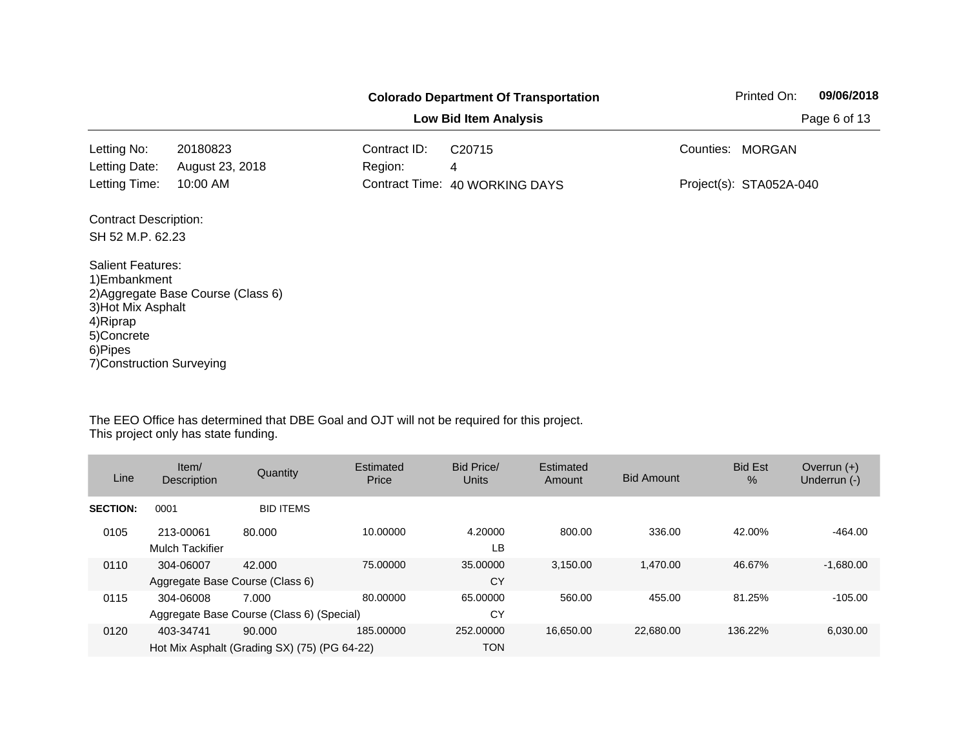|                                                                                                                                    |                                    |                         | <b>Colorado Department Of Transportation</b> |           | Printed On:             | 09/06/2018 |
|------------------------------------------------------------------------------------------------------------------------------------|------------------------------------|-------------------------|----------------------------------------------|-----------|-------------------------|------------|
|                                                                                                                                    |                                    | Page 6 of 13            |                                              |           |                         |            |
| Letting No:<br>Letting Date:                                                                                                       | 20180823<br>August 23, 2018        | Contract ID:<br>Region: | C <sub>20715</sub><br>4                      | Counties: | <b>MORGAN</b>           |            |
| Letting Time:                                                                                                                      | 10:00 AM                           |                         | Contract Time: 40 WORKING DAYS               |           | Project(s): STA052A-040 |            |
| <b>Contract Description:</b><br>SH 52 M.P. 62.23                                                                                   |                                    |                         |                                              |           |                         |            |
| <b>Salient Features:</b><br>1) Embankment<br>3) Hot Mix Asphalt<br>4) Riprap<br>5)Concrete<br>6)Pipes<br>7) Construction Surveying | 2) Aggregate Base Course (Class 6) |                         |                                              |           |                         |            |

| Line            | Item/<br>Description                         | Quantity                                               | Estimated<br>Price | Bid Price/<br>Units     | Estimated<br>Amount | <b>Bid Amount</b> | <b>Bid Est</b><br>$\%$ | Overrun $(+)$<br>Underrun (-) |
|-----------------|----------------------------------------------|--------------------------------------------------------|--------------------|-------------------------|---------------------|-------------------|------------------------|-------------------------------|
| <b>SECTION:</b> | 0001                                         | <b>BID ITEMS</b>                                       |                    |                         |                     |                   |                        |                               |
| 0105            | 213-00061<br><b>Mulch Tackifier</b>          | 80.000                                                 | 10.00000           | 4.20000<br>LB           | 800.00              | 336.00            | 42.00%                 | $-464.00$                     |
| 0110            | 304-06007<br>Aggregate Base Course (Class 6) | 42.000                                                 | 75,00000           | 35,00000<br>CY          | 3.150.00            | 1.470.00          | 46.67%                 | $-1,680.00$                   |
| 0115            | 304-06008                                    | 7.000<br>Aggregate Base Course (Class 6) (Special)     | 80.00000           | 65.00000<br>CY          | 560.00              | 455.00            | 81.25%                 | $-105.00$                     |
| 0120            | 403-34741                                    | 90,000<br>Hot Mix Asphalt (Grading SX) (75) (PG 64-22) | 185.00000          | 252,00000<br><b>TON</b> | 16.650.00           | 22.680.00         | 136.22%                | 6,030.00                      |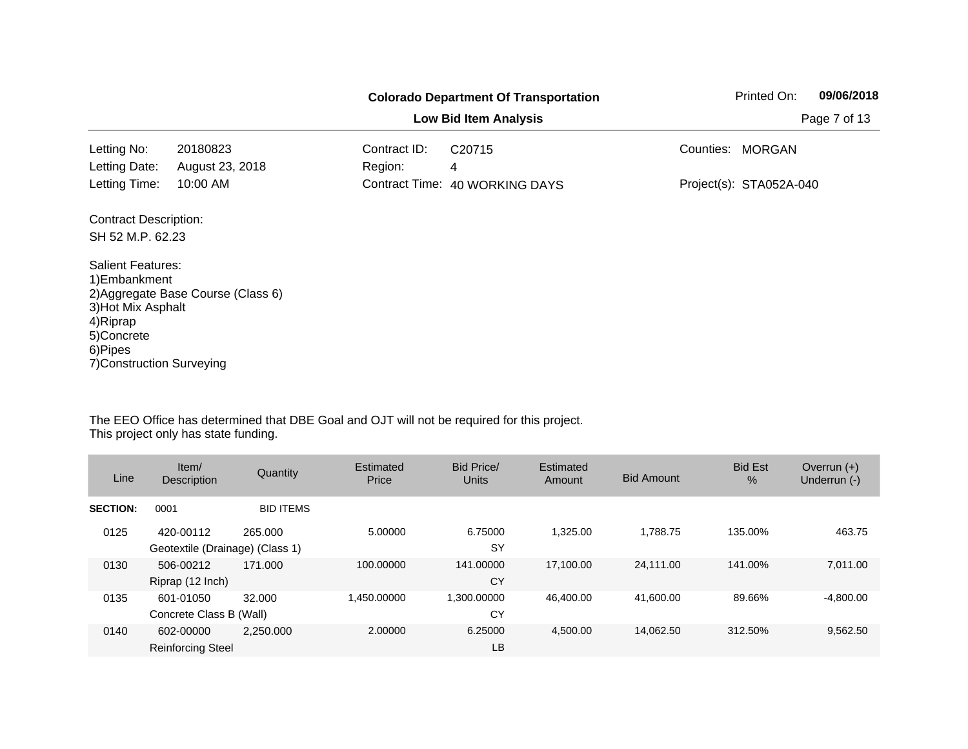|                                                                                                                                    |                                    |              | <b>Colorado Department Of Transportation</b> |           | Printed On:             | 09/06/2018   |
|------------------------------------------------------------------------------------------------------------------------------------|------------------------------------|--------------|----------------------------------------------|-----------|-------------------------|--------------|
|                                                                                                                                    |                                    |              | <b>Low Bid Item Analysis</b>                 |           |                         | Page 7 of 13 |
| Letting No:                                                                                                                        | 20180823                           | Contract ID: | C <sub>20715</sub>                           | Counties: | <b>MORGAN</b>           |              |
| Letting Date:                                                                                                                      | August 23, 2018                    | Region:      | 4                                            |           |                         |              |
| Letting Time:                                                                                                                      | 10:00 AM                           |              | Contract Time: 40 WORKING DAYS               |           | Project(s): STA052A-040 |              |
| <b>Contract Description:</b>                                                                                                       |                                    |              |                                              |           |                         |              |
| SH 52 M.P. 62.23                                                                                                                   |                                    |              |                                              |           |                         |              |
| <b>Salient Features:</b><br>1) Embankment<br>3) Hot Mix Asphalt<br>4) Riprap<br>5)Concrete<br>6)Pipes<br>7) Construction Surveying | 2) Aggregate Base Course (Class 6) |              |                                              |           |                         |              |

| Line            | Item/<br><b>Description</b>                  | Quantity         | Estimated<br>Price | Bid Price/<br><b>Units</b> | Estimated<br>Amount | <b>Bid Amount</b> | <b>Bid Est</b><br>$\%$ | Overrun $(+)$<br>Underrun (-) |
|-----------------|----------------------------------------------|------------------|--------------------|----------------------------|---------------------|-------------------|------------------------|-------------------------------|
| <b>SECTION:</b> | 0001                                         | <b>BID ITEMS</b> |                    |                            |                     |                   |                        |                               |
| 0125            | 420-00112<br>Geotextile (Drainage) (Class 1) | 265,000          | 5.00000            | 6.75000<br><b>SY</b>       | 1.325.00            | 1,788.75          | 135.00%                | 463.75                        |
| 0130            | 506-00212<br>Riprap (12 Inch)                | 171.000          | 100.00000          | 141.00000<br>CY            | 17.100.00           | 24,111.00         | 141.00%                | 7.011.00                      |
| 0135            | 601-01050<br>Concrete Class B (Wall)         | 32,000           | 1,450.00000        | ,300.00000<br>CY           | 46,400.00           | 41,600.00         | 89.66%                 | $-4,800.00$                   |
| 0140            | 602-00000<br><b>Reinforcing Steel</b>        | 2.250,000        | 2.00000            | 6.25000<br>LB              | 4.500.00            | 14.062.50         | 312.50%                | 9,562.50                      |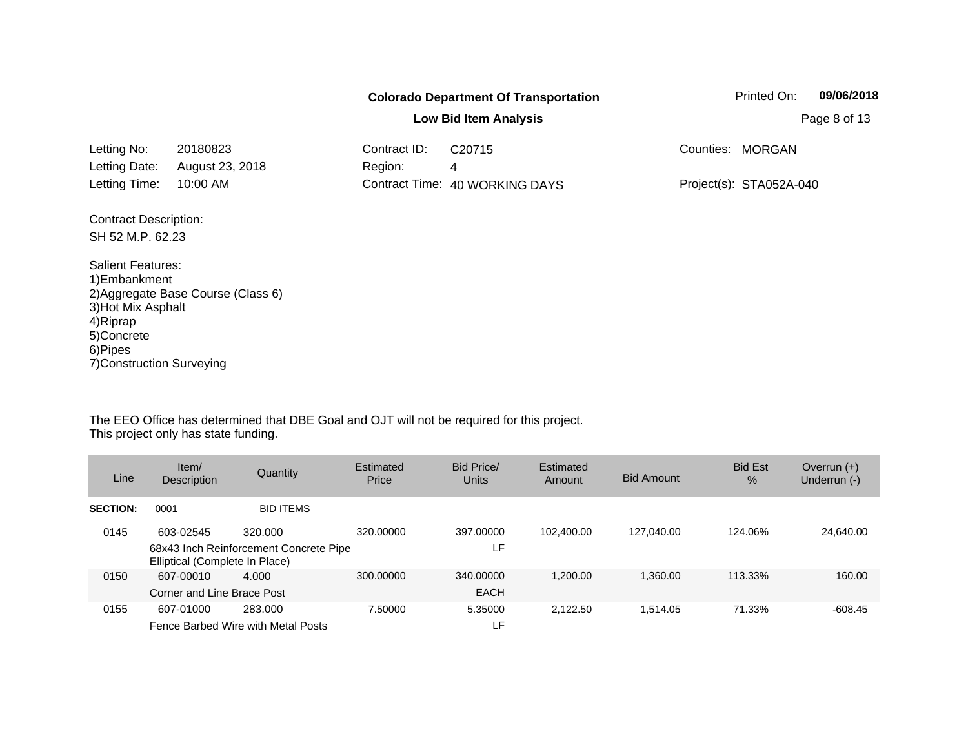|                                                                                                                                    | <b>Colorado Department Of Transportation</b> |                         |                                |           | 09/06/2018<br>Printed On: |              |  |
|------------------------------------------------------------------------------------------------------------------------------------|----------------------------------------------|-------------------------|--------------------------------|-----------|---------------------------|--------------|--|
|                                                                                                                                    |                                              |                         | <b>Low Bid Item Analysis</b>   |           |                           | Page 8 of 13 |  |
| Letting No:<br>Letting Date:                                                                                                       | 20180823<br>August 23, 2018                  | Contract ID:<br>Region: | C <sub>20715</sub><br>4        | Counties: | <b>MORGAN</b>             |              |  |
| Letting Time:                                                                                                                      | 10:00 AM                                     |                         | Contract Time: 40 WORKING DAYS |           | Project(s): STA052A-040   |              |  |
| <b>Contract Description:</b><br>SH 52 M.P. 62.23                                                                                   |                                              |                         |                                |           |                           |              |  |
| <b>Salient Features:</b><br>1) Embankment<br>3) Hot Mix Asphalt<br>4) Riprap<br>5)Concrete<br>6)Pipes<br>7) Construction Surveying | 2) Aggregate Base Course (Class 6)           |                         |                                |           |                           |              |  |

| Line            | Item/<br><b>Description</b>                 | Quantity                                          | Estimated<br>Price | Bid Price/<br><b>Units</b> | Estimated<br>Amount | <b>Bid Amount</b> | <b>Bid Est</b><br>$\%$ | Overrun $(+)$<br>Underrun (-) |
|-----------------|---------------------------------------------|---------------------------------------------------|--------------------|----------------------------|---------------------|-------------------|------------------------|-------------------------------|
| <b>SECTION:</b> | 0001                                        | <b>BID ITEMS</b>                                  |                    |                            |                     |                   |                        |                               |
| 0145            | 603-02545<br>Elliptical (Complete In Place) | 320.000<br>68x43 Inch Reinforcement Concrete Pipe | 320,00000          | 397,00000<br>LF.           | 102.400.00          | 127.040.00        | 124.06%                | 24.640.00                     |
| 0150            | 607-00010<br>Corner and Line Brace Post     | 4.000                                             | 300,00000          | 340,00000<br><b>EACH</b>   | 1.200.00            | 1.360.00          | 113.33%                | 160.00                        |
| 0155            | 607-01000                                   | 283.000<br>Fence Barbed Wire with Metal Posts     | 7.50000            | 5.35000<br>LF.             | 2.122.50            | 1.514.05          | 71.33%                 | $-608.45$                     |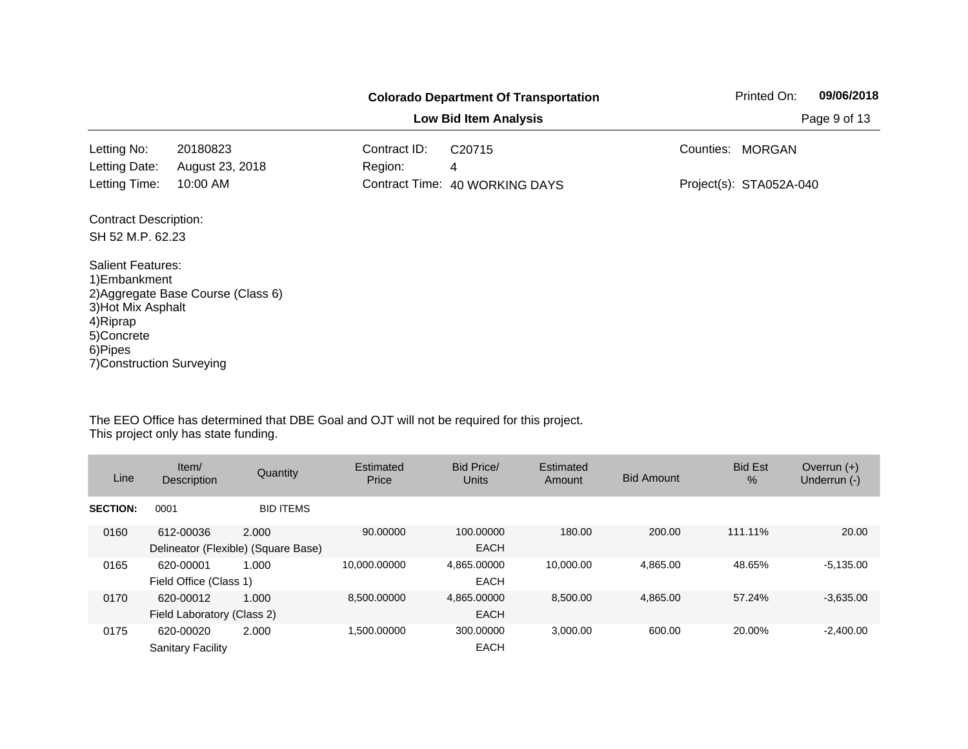|                                                                                                                                    |                                    |                         | <b>Colorado Department Of Transportation</b> |           | Printed On:             | 09/06/2018   |
|------------------------------------------------------------------------------------------------------------------------------------|------------------------------------|-------------------------|----------------------------------------------|-----------|-------------------------|--------------|
|                                                                                                                                    |                                    |                         | <b>Low Bid Item Analysis</b>                 |           |                         | Page 9 of 13 |
| Letting No:<br>Letting Date:                                                                                                       | 20180823<br>August 23, 2018        | Contract ID:<br>Region: | C <sub>20715</sub><br>4                      | Counties: | <b>MORGAN</b>           |              |
| Letting Time:                                                                                                                      | 10:00 AM                           |                         | Contract Time: 40 WORKING DAYS               |           | Project(s): STA052A-040 |              |
| <b>Contract Description:</b>                                                                                                       |                                    |                         |                                              |           |                         |              |
| SH 52 M.P. 62.23                                                                                                                   |                                    |                         |                                              |           |                         |              |
| <b>Salient Features:</b><br>1) Embankment<br>3) Hot Mix Asphalt<br>4) Riprap<br>5)Concrete<br>6)Pipes<br>7) Construction Surveying | 2) Aggregate Base Course (Class 6) |                         |                                              |           |                         |              |

| Line            | Item/<br>Description                    | Quantity                                     | Estimated<br>Price | Bid Price/<br>Units        | Estimated<br>Amount | <b>Bid Amount</b> | <b>Bid Est</b><br>$\%$ | Overrun $(+)$<br>Underrun (-) |
|-----------------|-----------------------------------------|----------------------------------------------|--------------------|----------------------------|---------------------|-------------------|------------------------|-------------------------------|
| <b>SECTION:</b> | 0001                                    | <b>BID ITEMS</b>                             |                    |                            |                     |                   |                        |                               |
| 0160            | 612-00036                               | 2.000<br>Delineator (Flexible) (Square Base) | 90.00000           | 100.00000<br><b>EACH</b>   | 180.00              | 200.00            | 111.11%                | 20.00                         |
| 0165            | 620-00001<br>Field Office (Class 1)     | 1.000                                        | 10.000.00000       | 4.865.00000<br><b>EACH</b> | 10.000.00           | 4.865.00          | 48.65%                 | $-5.135.00$                   |
| 0170            | 620-00012<br>Field Laboratory (Class 2) | 1.000                                        | 8.500.00000        | 4,865.00000<br><b>EACH</b> | 8.500.00            | 4.865.00          | 57.24%                 | $-3.635.00$                   |
| 0175            | 620-00020<br><b>Sanitary Facility</b>   | 2.000                                        | 1.500.00000        | 300,00000<br><b>EACH</b>   | 3.000.00            | 600.00            | 20.00%                 | $-2.400.00$                   |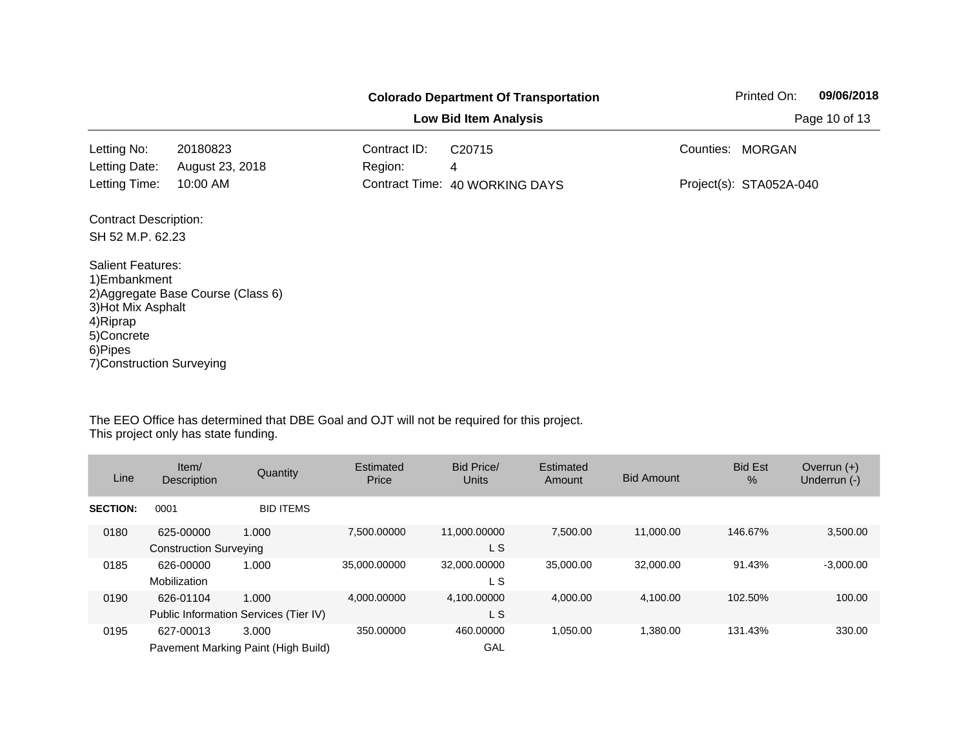|                                                                                                                                    |                                    |                         | <b>Colorado Department Of Transportation</b> |           | Printed On:             | 09/06/2018 |
|------------------------------------------------------------------------------------------------------------------------------------|------------------------------------|-------------------------|----------------------------------------------|-----------|-------------------------|------------|
|                                                                                                                                    |                                    | Page 10 of 13           |                                              |           |                         |            |
| Letting No:<br>Letting Date:                                                                                                       | 20180823<br>August 23, 2018        | Contract ID:<br>Region: | C <sub>20715</sub><br>4                      | Counties: | <b>MORGAN</b>           |            |
| Letting Time:                                                                                                                      | 10:00 AM                           |                         | Contract Time: 40 WORKING DAYS               |           | Project(s): STA052A-040 |            |
| <b>Contract Description:</b><br>SH 52 M.P. 62.23                                                                                   |                                    |                         |                                              |           |                         |            |
| <b>Salient Features:</b><br>1) Embankment<br>3) Hot Mix Asphalt<br>4) Riprap<br>5)Concrete<br>6)Pipes<br>7) Construction Surveying | 2) Aggregate Base Course (Class 6) |                         |                                              |           |                         |            |

| Line            | Item/<br>Description                       | Quantity                                       | Estimated<br>Price | Bid Price/<br>Units | Estimated<br>Amount | <b>Bid Amount</b> | <b>Bid Est</b><br>$\frac{0}{0}$ | Overrun $(+)$<br>Underrun (-) |
|-----------------|--------------------------------------------|------------------------------------------------|--------------------|---------------------|---------------------|-------------------|---------------------------------|-------------------------------|
| <b>SECTION:</b> | 0001                                       | <b>BID ITEMS</b>                               |                    |                     |                     |                   |                                 |                               |
| 0180            | 625-00000<br><b>Construction Surveying</b> | 1.000                                          | 7.500.00000        | 11,000.00000<br>L S | 7.500.00            | 11.000.00         | 146.67%                         | 3,500.00                      |
| 0185            | 626-00000<br>Mobilization                  | 1.000                                          | 35.000.00000       | 32,000.00000<br>L S | 35,000,00           | 32,000,00         | 91.43%                          | $-3,000.00$                   |
| 0190            | 626-01104                                  | 1.000<br>Public Information Services (Tier IV) | 4.000.00000        | 4,100.00000<br>L S  | 4.000.00            | 4.100.00          | 102.50%                         | 100.00                        |
| 0195            | 627-00013                                  | 3.000<br>Pavement Marking Paint (High Build)   | 350.00000          | 460,00000<br>GAL    | 1.050.00            | 1.380.00          | 131.43%                         | 330.00                        |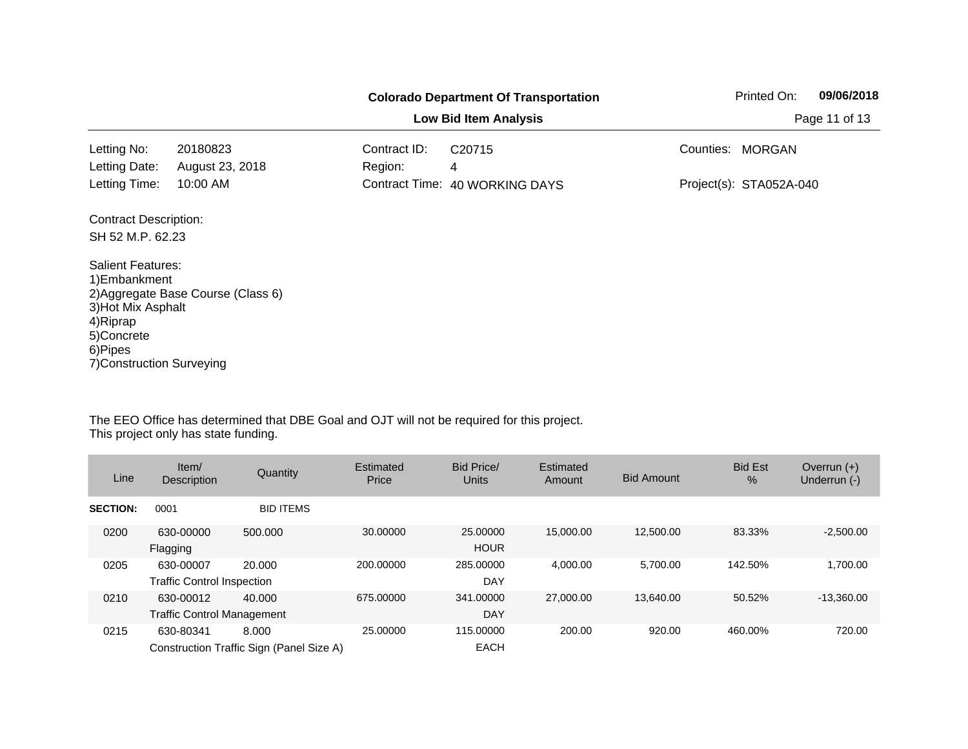|                                                                                                                                    |                                    |                         | <b>Colorado Department Of Transportation</b> |           | Printed On:             | 09/06/2018 |
|------------------------------------------------------------------------------------------------------------------------------------|------------------------------------|-------------------------|----------------------------------------------|-----------|-------------------------|------------|
|                                                                                                                                    |                                    | Page 11 of 13           |                                              |           |                         |            |
| Letting No:<br>Letting Date:                                                                                                       | 20180823<br>August 23, 2018        | Contract ID:<br>Region: | C <sub>20715</sub><br>4                      | Counties: | <b>MORGAN</b>           |            |
| Letting Time:                                                                                                                      | 10:00 AM                           |                         | Contract Time: 40 WORKING DAYS               |           | Project(s): STA052A-040 |            |
| <b>Contract Description:</b><br>SH 52 M.P. 62.23                                                                                   |                                    |                         |                                              |           |                         |            |
| <b>Salient Features:</b><br>1) Embankment<br>3) Hot Mix Asphalt<br>4) Riprap<br>5)Concrete<br>6)Pipes<br>7) Construction Surveying | 2) Aggregate Base Course (Class 6) |                         |                                              |           |                         |            |

| Line            | Item/<br>Description                           | Quantity                                          | Estimated<br>Price | Bid Price/<br>Units      | Estimated<br>Amount | <b>Bid Amount</b> | <b>Bid Est</b><br>$\frac{0}{0}$ | Overrun $(+)$<br>Underrun (-) |
|-----------------|------------------------------------------------|---------------------------------------------------|--------------------|--------------------------|---------------------|-------------------|---------------------------------|-------------------------------|
| <b>SECTION:</b> | 0001                                           | <b>BID ITEMS</b>                                  |                    |                          |                     |                   |                                 |                               |
| 0200            | 630-00000<br>Flagging                          | 500.000                                           | 30.00000           | 25,00000<br><b>HOUR</b>  | 15,000.00           | 12.500.00         | 83.33%                          | $-2,500.00$                   |
| 0205            | 630-00007<br><b>Traffic Control Inspection</b> | 20.000                                            | 200.00000          | 285,00000<br>DAY         | 4.000.00            | 5.700.00          | 142.50%                         | 1.700.00                      |
| 0210            | 630-00012<br><b>Traffic Control Management</b> | 40.000                                            | 675,00000          | 341.00000<br><b>DAY</b>  | 27,000.00           | 13.640.00         | 50.52%                          | $-13,360.00$                  |
| 0215            | 630-80341                                      | 8.000<br>Construction Traffic Sign (Panel Size A) | 25.00000           | 115,00000<br><b>EACH</b> | 200.00              | 920.00            | 460.00%                         | 720.00                        |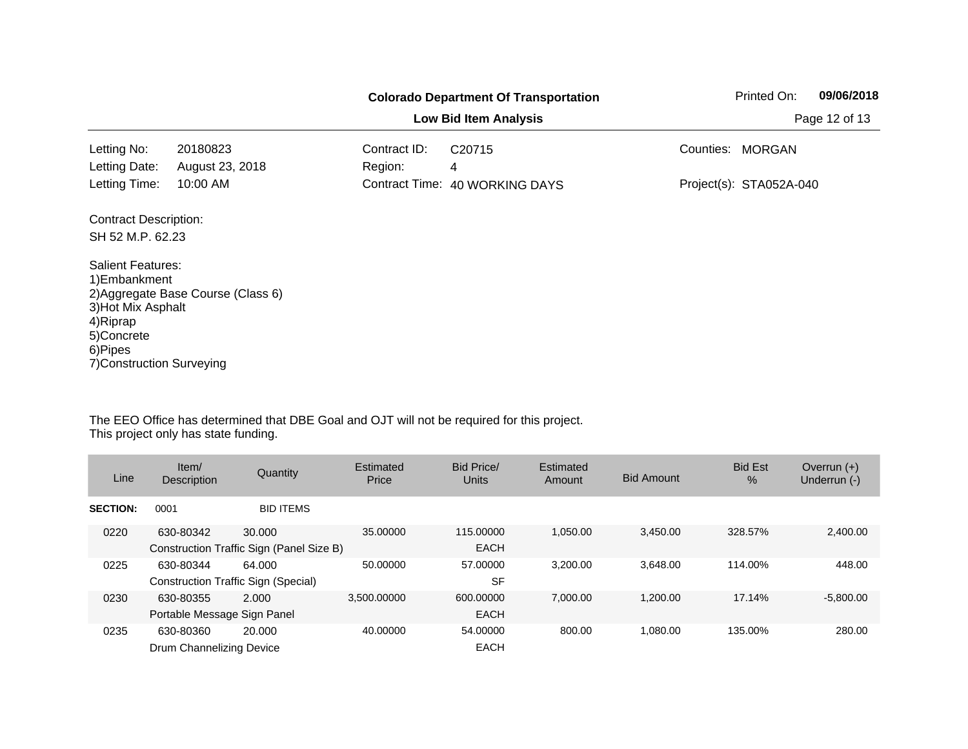|                                                                                                                                    |                                    |                         | <b>Colorado Department Of Transportation</b> |           | Printed On:             | 09/06/2018 |
|------------------------------------------------------------------------------------------------------------------------------------|------------------------------------|-------------------------|----------------------------------------------|-----------|-------------------------|------------|
|                                                                                                                                    |                                    | Page 12 of 13           |                                              |           |                         |            |
| Letting No:<br>Letting Date:                                                                                                       | 20180823<br>August 23, 2018        | Contract ID:<br>Region: | C <sub>20715</sub><br>4                      | Counties: | <b>MORGAN</b>           |            |
| Letting Time:                                                                                                                      | 10:00 AM                           |                         | Contract Time: 40 WORKING DAYS               |           | Project(s): STA052A-040 |            |
| <b>Contract Description:</b><br>SH 52 M.P. 62.23                                                                                   |                                    |                         |                                              |           |                         |            |
| <b>Salient Features:</b><br>1) Embankment<br>3) Hot Mix Asphalt<br>4) Riprap<br>5)Concrete<br>6)Pipes<br>7) Construction Surveying | 2) Aggregate Base Course (Class 6) |                         |                                              |           |                         |            |

| Line            | Item/<br>Description                             | Quantity                                           | Estimated<br>Price | Bid Price/<br><b>Units</b> | Estimated<br>Amount | <b>Bid Amount</b> | <b>Bid Est</b><br>$\frac{0}{0}$ | Overrun $(+)$<br>Underrun (-) |
|-----------------|--------------------------------------------------|----------------------------------------------------|--------------------|----------------------------|---------------------|-------------------|---------------------------------|-------------------------------|
| <b>SECTION:</b> | 0001                                             | <b>BID ITEMS</b>                                   |                    |                            |                     |                   |                                 |                               |
| 0220            | 630-80342                                        | 30,000<br>Construction Traffic Sign (Panel Size B) | 35,00000           | 115,00000<br><b>EACH</b>   | 1.050.00            | 3.450.00          | 328.57%                         | 2,400.00                      |
| 0225            | 630-80344<br>Construction Traffic Sign (Special) | 64.000                                             | 50.00000           | 57,00000<br><b>SF</b>      | 3.200.00            | 3.648.00          | 114.00%                         | 448.00                        |
| 0230            | 630-80355<br>Portable Message Sign Panel         | 2.000                                              | 3.500.00000        | 600,00000<br><b>EACH</b>   | 7.000.00            | 1.200.00          | 17.14%                          | $-5,800.00$                   |
| 0235            | 630-80360<br>Drum Channelizing Device            | 20,000                                             | 40.00000           | 54.00000<br><b>EACH</b>    | 800.00              | 1.080.00          | 135.00%                         | 280.00                        |